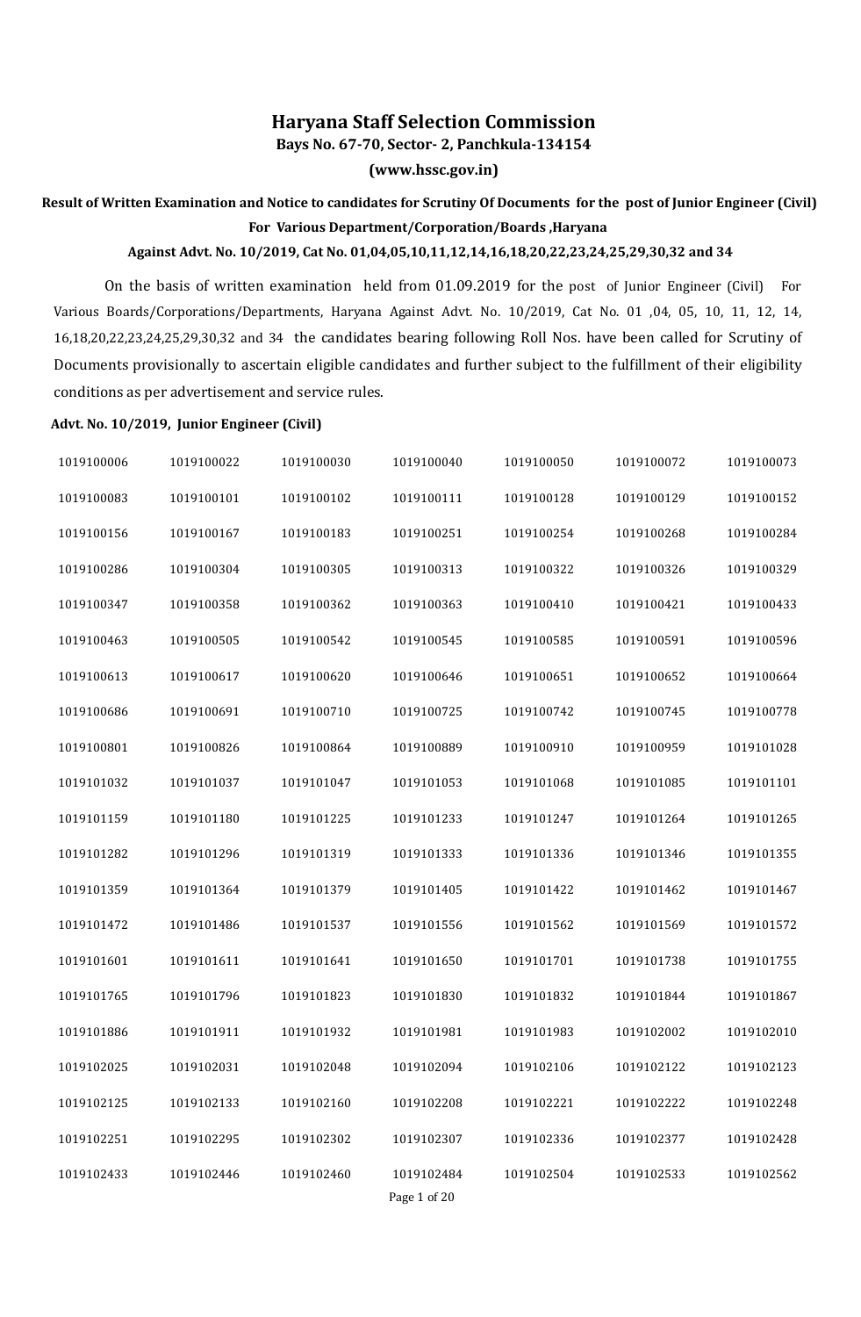## **Haryana Staff Selection Commission**

**Bays No. 67-70, Sector- 2, Panchkula-134154**

**(www.hssc.gov.in)**

## **Result of Written Examination and Notice to candidates for Scrutiny Of Documents for the post of Junior Engineer (Civil) For Various Department/Corporation/Boards ,Haryana**

## **Against Advt. No. 10/2019, Cat No. 01,04,05,10,11,12,14,16,18,20,22,23,24,25,29,30,32 and 34**

On the basis of written examination held from 01.09.2019 for the post of Junior Engineer (Civil) For Various Boards/Corporations/Departments, Haryana Against Advt. No. 10/2019, Cat No. 01 ,04, 05, 10, 11, 12, 14, 16,18,20,22,23,24,25,29,30,32 and 34 the candidates bearing following Roll Nos. have been called for Scrutiny of Documents provisionally to ascertain eligible candidates and further subject to the fulfillment of their eligibility conditions as per advertisement and service rules.

## **Advt. No. 10/2019, Junior Engineer (Civil)**

| 1019100006 | 1019100022 | 1019100030 | 1019100040                 | 1019100050 | 1019100072 | 1019100073 |
|------------|------------|------------|----------------------------|------------|------------|------------|
| 1019100083 | 1019100101 | 1019100102 | 1019100111                 | 1019100128 | 1019100129 | 1019100152 |
| 1019100156 | 1019100167 | 1019100183 | 1019100251                 | 1019100254 | 1019100268 | 1019100284 |
| 1019100286 | 1019100304 | 1019100305 | 1019100313                 | 1019100322 | 1019100326 | 1019100329 |
| 1019100347 | 1019100358 | 1019100362 | 1019100363                 | 1019100410 | 1019100421 | 1019100433 |
| 1019100463 | 1019100505 | 1019100542 | 1019100545                 | 1019100585 | 1019100591 | 1019100596 |
| 1019100613 | 1019100617 | 1019100620 | 1019100646                 | 1019100651 | 1019100652 | 1019100664 |
| 1019100686 | 1019100691 | 1019100710 | 1019100725                 | 1019100742 | 1019100745 | 1019100778 |
| 1019100801 | 1019100826 | 1019100864 | 1019100889                 | 1019100910 | 1019100959 | 1019101028 |
| 1019101032 | 1019101037 | 1019101047 | 1019101053                 | 1019101068 | 1019101085 | 1019101101 |
| 1019101159 | 1019101180 | 1019101225 | 1019101233                 | 1019101247 | 1019101264 | 1019101265 |
| 1019101282 | 1019101296 | 1019101319 | 1019101333                 | 1019101336 | 1019101346 | 1019101355 |
| 1019101359 | 1019101364 | 1019101379 | 1019101405                 | 1019101422 | 1019101462 | 1019101467 |
| 1019101472 | 1019101486 | 1019101537 | 1019101556                 | 1019101562 | 1019101569 | 1019101572 |
| 1019101601 | 1019101611 | 1019101641 | 1019101650                 | 1019101701 | 1019101738 | 1019101755 |
| 1019101765 | 1019101796 | 1019101823 | 1019101830                 | 1019101832 | 1019101844 | 1019101867 |
| 1019101886 | 1019101911 | 1019101932 | 1019101981                 | 1019101983 | 1019102002 | 1019102010 |
| 1019102025 | 1019102031 | 1019102048 | 1019102094                 | 1019102106 | 1019102122 | 1019102123 |
| 1019102125 | 1019102133 | 1019102160 | 1019102208                 | 1019102221 | 1019102222 | 1019102248 |
| 1019102251 | 1019102295 | 1019102302 | 1019102307                 | 1019102336 | 1019102377 | 1019102428 |
| 1019102433 | 1019102446 | 1019102460 | 1019102484<br>Page 1 of 20 | 1019102504 | 1019102533 | 1019102562 |
|            |            |            |                            |            |            |            |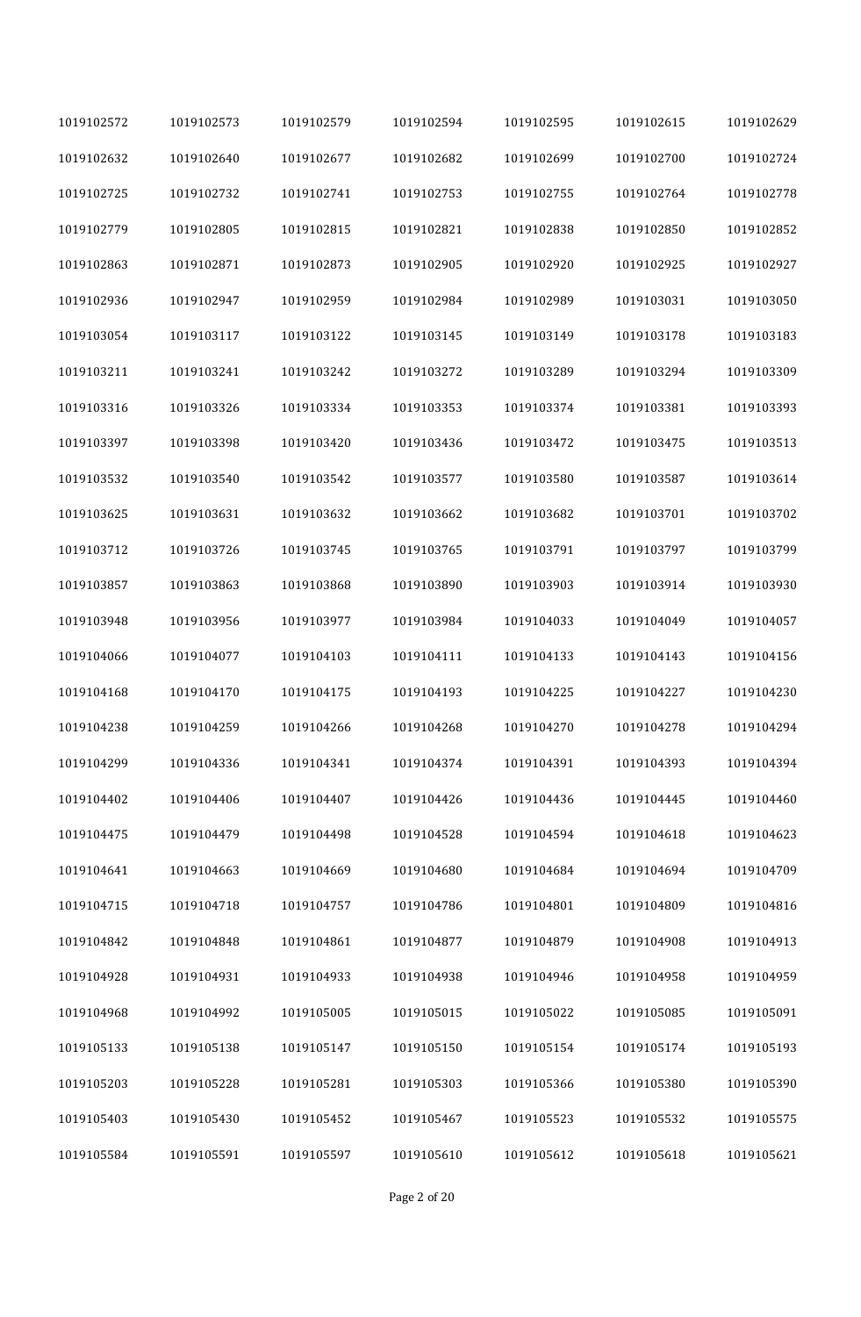| 1019102572 | 1019102573 | 1019102579 | 1019102594 | 1019102595 | 1019102615 | 1019102629 |
|------------|------------|------------|------------|------------|------------|------------|
| 1019102632 | 1019102640 | 1019102677 | 1019102682 | 1019102699 | 1019102700 | 1019102724 |
| 1019102725 | 1019102732 | 1019102741 | 1019102753 | 1019102755 | 1019102764 | 1019102778 |
| 1019102779 | 1019102805 | 1019102815 | 1019102821 | 1019102838 | 1019102850 | 1019102852 |
| 1019102863 | 1019102871 | 1019102873 | 1019102905 | 1019102920 | 1019102925 | 1019102927 |
| 1019102936 | 1019102947 | 1019102959 | 1019102984 | 1019102989 | 1019103031 | 1019103050 |
| 1019103054 | 1019103117 | 1019103122 | 1019103145 | 1019103149 | 1019103178 | 1019103183 |
| 1019103211 | 1019103241 | 1019103242 | 1019103272 | 1019103289 | 1019103294 | 1019103309 |
| 1019103316 | 1019103326 | 1019103334 | 1019103353 | 1019103374 | 1019103381 | 1019103393 |
| 1019103397 | 1019103398 | 1019103420 | 1019103436 | 1019103472 | 1019103475 | 1019103513 |
| 1019103532 | 1019103540 | 1019103542 | 1019103577 | 1019103580 | 1019103587 | 1019103614 |
| 1019103625 | 1019103631 | 1019103632 | 1019103662 | 1019103682 | 1019103701 | 1019103702 |
| 1019103712 | 1019103726 | 1019103745 | 1019103765 | 1019103791 | 1019103797 | 1019103799 |
| 1019103857 | 1019103863 | 1019103868 | 1019103890 | 1019103903 | 1019103914 | 1019103930 |
| 1019103948 | 1019103956 | 1019103977 | 1019103984 | 1019104033 | 1019104049 | 1019104057 |
| 1019104066 | 1019104077 | 1019104103 | 1019104111 | 1019104133 | 1019104143 | 1019104156 |
| 1019104168 | 1019104170 | 1019104175 | 1019104193 | 1019104225 | 1019104227 | 1019104230 |
| 1019104238 | 1019104259 | 1019104266 | 1019104268 | 1019104270 | 1019104278 | 1019104294 |
| 1019104299 | 1019104336 | 1019104341 | 1019104374 | 1019104391 | 1019104393 | 1019104394 |
| 1019104402 | 1019104406 | 1019104407 | 1019104426 | 1019104436 | 1019104445 | 1019104460 |
| 1019104475 | 1019104479 | 1019104498 | 1019104528 | 1019104594 | 1019104618 | 1019104623 |
| 1019104641 | 1019104663 | 1019104669 | 1019104680 | 1019104684 | 1019104694 | 1019104709 |
| 1019104715 | 1019104718 | 1019104757 | 1019104786 | 1019104801 | 1019104809 | 1019104816 |
| 1019104842 | 1019104848 | 1019104861 | 1019104877 | 1019104879 | 1019104908 | 1019104913 |
| 1019104928 | 1019104931 | 1019104933 | 1019104938 | 1019104946 | 1019104958 | 1019104959 |
| 1019104968 | 1019104992 | 1019105005 | 1019105015 | 1019105022 | 1019105085 | 1019105091 |
| 1019105133 | 1019105138 | 1019105147 | 1019105150 | 1019105154 | 1019105174 | 1019105193 |
| 1019105203 | 1019105228 | 1019105281 | 1019105303 | 1019105366 | 1019105380 | 1019105390 |
| 1019105403 | 1019105430 | 1019105452 | 1019105467 | 1019105523 | 1019105532 | 1019105575 |
| 1019105584 | 1019105591 | 1019105597 | 1019105610 | 1019105612 | 1019105618 | 1019105621 |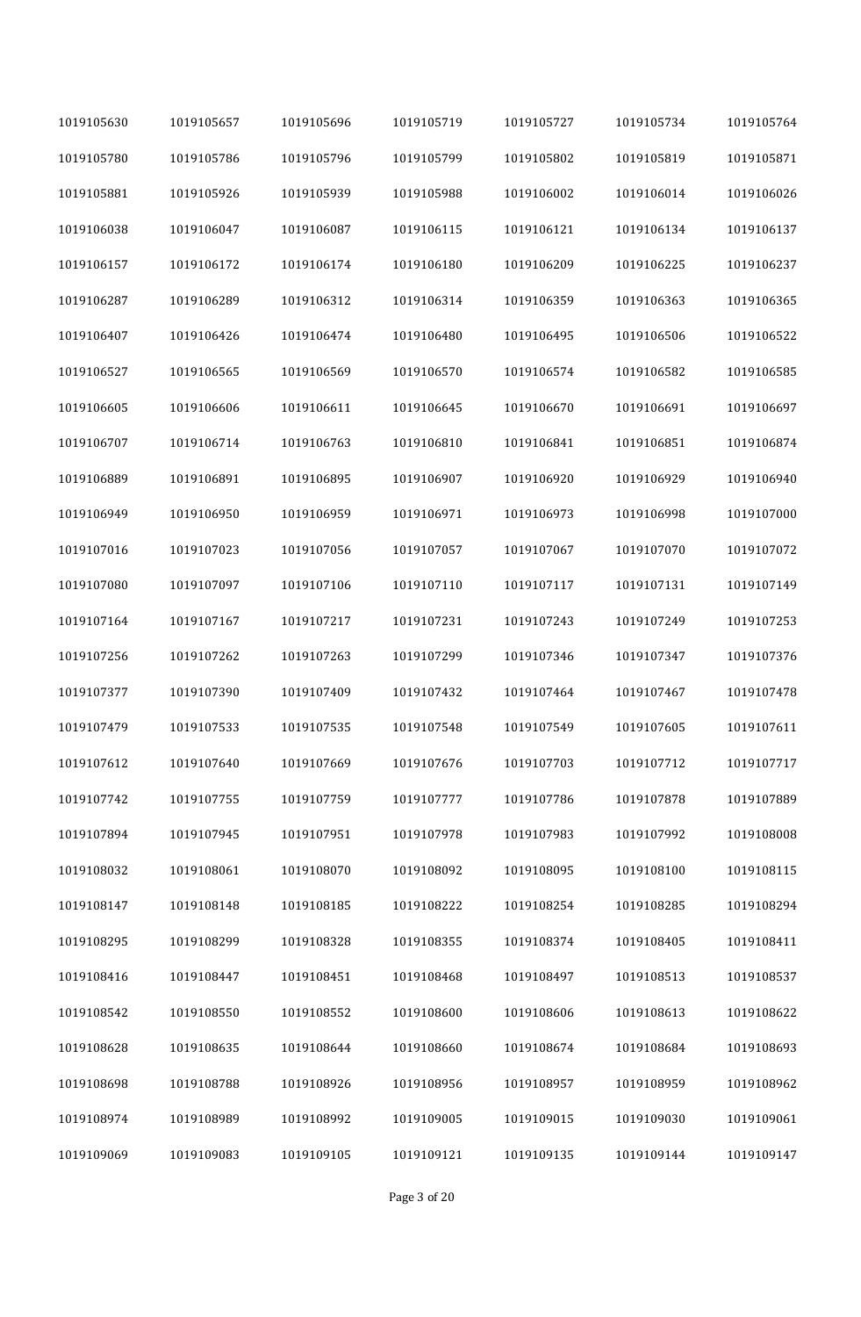| 1019105630 | 1019105657 | 1019105696 | 1019105719 | 1019105727 | 1019105734 | 1019105764 |
|------------|------------|------------|------------|------------|------------|------------|
| 1019105780 | 1019105786 | 1019105796 | 1019105799 | 1019105802 | 1019105819 | 1019105871 |
| 1019105881 | 1019105926 | 1019105939 | 1019105988 | 1019106002 | 1019106014 | 1019106026 |
| 1019106038 | 1019106047 | 1019106087 | 1019106115 | 1019106121 | 1019106134 | 1019106137 |
| 1019106157 | 1019106172 | 1019106174 | 1019106180 | 1019106209 | 1019106225 | 1019106237 |
| 1019106287 | 1019106289 | 1019106312 | 1019106314 | 1019106359 | 1019106363 | 1019106365 |
| 1019106407 | 1019106426 | 1019106474 | 1019106480 | 1019106495 | 1019106506 | 1019106522 |
| 1019106527 | 1019106565 | 1019106569 | 1019106570 | 1019106574 | 1019106582 | 1019106585 |
| 1019106605 | 1019106606 | 1019106611 | 1019106645 | 1019106670 | 1019106691 | 1019106697 |
| 1019106707 | 1019106714 | 1019106763 | 1019106810 | 1019106841 | 1019106851 | 1019106874 |
| 1019106889 | 1019106891 | 1019106895 | 1019106907 | 1019106920 | 1019106929 | 1019106940 |
| 1019106949 | 1019106950 | 1019106959 | 1019106971 | 1019106973 | 1019106998 | 1019107000 |
| 1019107016 | 1019107023 | 1019107056 | 1019107057 | 1019107067 | 1019107070 | 1019107072 |
| 1019107080 | 1019107097 | 1019107106 | 1019107110 | 1019107117 | 1019107131 | 1019107149 |
| 1019107164 | 1019107167 | 1019107217 | 1019107231 | 1019107243 | 1019107249 | 1019107253 |
| 1019107256 | 1019107262 | 1019107263 | 1019107299 | 1019107346 | 1019107347 | 1019107376 |
| 1019107377 | 1019107390 | 1019107409 | 1019107432 | 1019107464 | 1019107467 | 1019107478 |
| 1019107479 | 1019107533 | 1019107535 | 1019107548 | 1019107549 | 1019107605 | 1019107611 |
| 1019107612 | 1019107640 | 1019107669 | 1019107676 | 1019107703 | 1019107712 | 1019107717 |
| 1019107742 | 1019107755 | 1019107759 | 1019107777 | 1019107786 | 1019107878 | 1019107889 |
| 1019107894 | 1019107945 | 1019107951 | 1019107978 | 1019107983 | 1019107992 | 1019108008 |
| 1019108032 | 1019108061 | 1019108070 | 1019108092 | 1019108095 | 1019108100 | 1019108115 |
| 1019108147 | 1019108148 | 1019108185 | 1019108222 | 1019108254 | 1019108285 | 1019108294 |
| 1019108295 | 1019108299 | 1019108328 | 1019108355 | 1019108374 | 1019108405 | 1019108411 |
| 1019108416 | 1019108447 | 1019108451 | 1019108468 | 1019108497 | 1019108513 | 1019108537 |
| 1019108542 | 1019108550 | 1019108552 | 1019108600 | 1019108606 | 1019108613 | 1019108622 |
| 1019108628 | 1019108635 | 1019108644 | 1019108660 | 1019108674 | 1019108684 | 1019108693 |
| 1019108698 | 1019108788 | 1019108926 | 1019108956 | 1019108957 | 1019108959 | 1019108962 |
| 1019108974 | 1019108989 | 1019108992 | 1019109005 | 1019109015 | 1019109030 | 1019109061 |
| 1019109069 | 1019109083 | 1019109105 | 1019109121 | 1019109135 | 1019109144 | 1019109147 |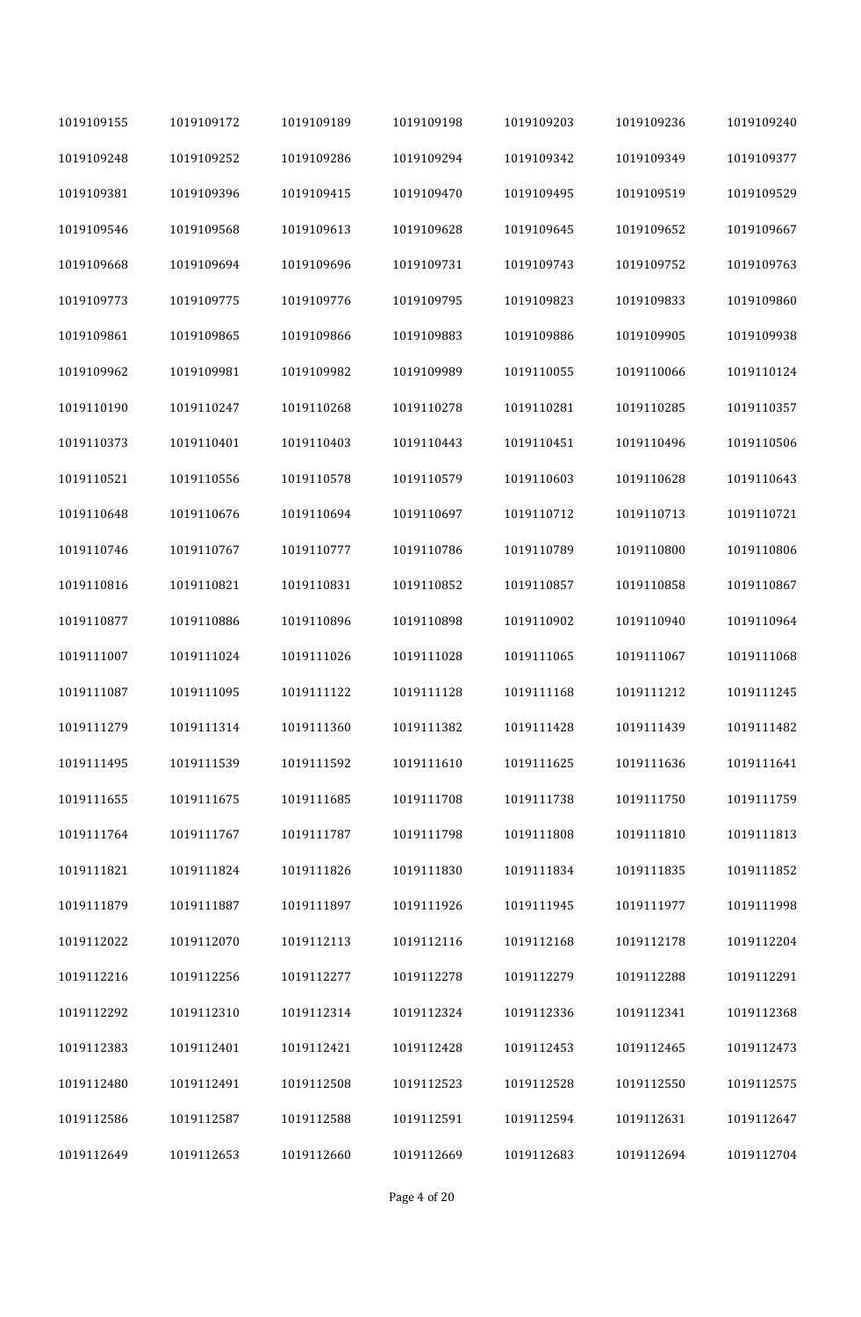| 1019109155 | 1019109172 | 1019109189 | 1019109198 | 1019109203 | 1019109236 | 1019109240 |
|------------|------------|------------|------------|------------|------------|------------|
| 1019109248 | 1019109252 | 1019109286 | 1019109294 | 1019109342 | 1019109349 | 1019109377 |
| 1019109381 | 1019109396 | 1019109415 | 1019109470 | 1019109495 | 1019109519 | 1019109529 |
| 1019109546 | 1019109568 | 1019109613 | 1019109628 | 1019109645 | 1019109652 | 1019109667 |
| 1019109668 | 1019109694 | 1019109696 | 1019109731 | 1019109743 | 1019109752 | 1019109763 |
| 1019109773 | 1019109775 | 1019109776 | 1019109795 | 1019109823 | 1019109833 | 1019109860 |
| 1019109861 | 1019109865 | 1019109866 | 1019109883 | 1019109886 | 1019109905 | 1019109938 |
| 1019109962 | 1019109981 | 1019109982 | 1019109989 | 1019110055 | 1019110066 | 1019110124 |
| 1019110190 | 1019110247 | 1019110268 | 1019110278 | 1019110281 | 1019110285 | 1019110357 |
| 1019110373 | 1019110401 | 1019110403 | 1019110443 | 1019110451 | 1019110496 | 1019110506 |
| 1019110521 | 1019110556 | 1019110578 | 1019110579 | 1019110603 | 1019110628 | 1019110643 |
| 1019110648 | 1019110676 | 1019110694 | 1019110697 | 1019110712 | 1019110713 | 1019110721 |
| 1019110746 | 1019110767 | 1019110777 | 1019110786 | 1019110789 | 1019110800 | 1019110806 |
| 1019110816 | 1019110821 | 1019110831 | 1019110852 | 1019110857 | 1019110858 | 1019110867 |
| 1019110877 | 1019110886 | 1019110896 | 1019110898 | 1019110902 | 1019110940 | 1019110964 |
| 1019111007 | 1019111024 | 1019111026 | 1019111028 | 1019111065 | 1019111067 | 1019111068 |
| 1019111087 | 1019111095 | 1019111122 | 1019111128 | 1019111168 | 1019111212 | 1019111245 |
| 1019111279 | 1019111314 | 1019111360 | 1019111382 | 1019111428 | 1019111439 | 1019111482 |
| 1019111495 | 1019111539 | 1019111592 | 1019111610 | 1019111625 | 1019111636 | 1019111641 |
| 1019111655 | 1019111675 | 1019111685 | 1019111708 | 1019111738 | 1019111750 | 1019111759 |
| 1019111764 | 1019111767 | 1019111787 | 1019111798 | 1019111808 | 1019111810 | 1019111813 |
| 1019111821 | 1019111824 | 1019111826 | 1019111830 | 1019111834 | 1019111835 | 1019111852 |
| 1019111879 | 1019111887 | 1019111897 | 1019111926 | 1019111945 | 1019111977 | 1019111998 |
| 1019112022 | 1019112070 | 1019112113 | 1019112116 | 1019112168 | 1019112178 | 1019112204 |
| 1019112216 | 1019112256 | 1019112277 | 1019112278 | 1019112279 | 1019112288 | 1019112291 |
| 1019112292 | 1019112310 | 1019112314 | 1019112324 | 1019112336 | 1019112341 | 1019112368 |
| 1019112383 | 1019112401 | 1019112421 | 1019112428 | 1019112453 | 1019112465 | 1019112473 |
| 1019112480 | 1019112491 | 1019112508 | 1019112523 | 1019112528 | 1019112550 | 1019112575 |
| 1019112586 | 1019112587 | 1019112588 | 1019112591 | 1019112594 | 1019112631 | 1019112647 |
| 1019112649 | 1019112653 | 1019112660 | 1019112669 | 1019112683 | 1019112694 | 1019112704 |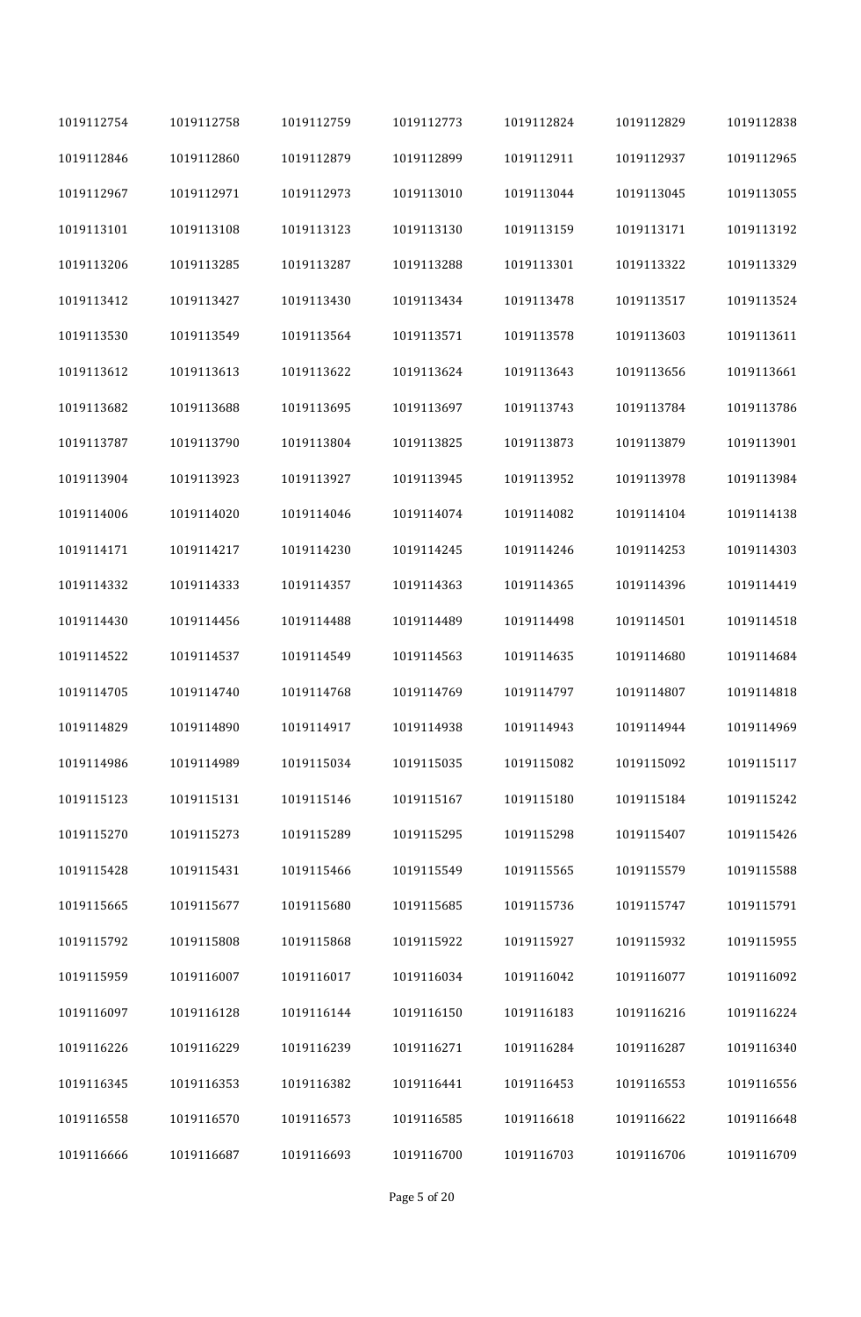| 1019112754 | 1019112758 | 1019112759 | 1019112773 | 1019112824 | 1019112829 | 1019112838 |
|------------|------------|------------|------------|------------|------------|------------|
| 1019112846 | 1019112860 | 1019112879 | 1019112899 | 1019112911 | 1019112937 | 1019112965 |
| 1019112967 | 1019112971 | 1019112973 | 1019113010 | 1019113044 | 1019113045 | 1019113055 |
| 1019113101 | 1019113108 | 1019113123 | 1019113130 | 1019113159 | 1019113171 | 1019113192 |
| 1019113206 | 1019113285 | 1019113287 | 1019113288 | 1019113301 | 1019113322 | 1019113329 |
| 1019113412 | 1019113427 | 1019113430 | 1019113434 | 1019113478 | 1019113517 | 1019113524 |
| 1019113530 | 1019113549 | 1019113564 | 1019113571 | 1019113578 | 1019113603 | 1019113611 |
| 1019113612 | 1019113613 | 1019113622 | 1019113624 | 1019113643 | 1019113656 | 1019113661 |
| 1019113682 | 1019113688 | 1019113695 | 1019113697 | 1019113743 | 1019113784 | 1019113786 |
| 1019113787 | 1019113790 | 1019113804 | 1019113825 | 1019113873 | 1019113879 | 1019113901 |
| 1019113904 | 1019113923 | 1019113927 | 1019113945 | 1019113952 | 1019113978 | 1019113984 |
| 1019114006 | 1019114020 | 1019114046 | 1019114074 | 1019114082 | 1019114104 | 1019114138 |
| 1019114171 | 1019114217 | 1019114230 | 1019114245 | 1019114246 | 1019114253 | 1019114303 |
| 1019114332 | 1019114333 | 1019114357 | 1019114363 | 1019114365 | 1019114396 | 1019114419 |
| 1019114430 | 1019114456 | 1019114488 | 1019114489 | 1019114498 | 1019114501 | 1019114518 |
| 1019114522 | 1019114537 | 1019114549 | 1019114563 | 1019114635 | 1019114680 | 1019114684 |
| 1019114705 | 1019114740 | 1019114768 | 1019114769 | 1019114797 | 1019114807 | 1019114818 |
| 1019114829 | 1019114890 | 1019114917 | 1019114938 | 1019114943 | 1019114944 | 1019114969 |
| 1019114986 | 1019114989 | 1019115034 | 1019115035 | 1019115082 | 1019115092 | 1019115117 |
| 1019115123 | 1019115131 | 1019115146 | 1019115167 | 1019115180 | 1019115184 | 1019115242 |
| 1019115270 | 1019115273 | 1019115289 | 1019115295 | 1019115298 | 1019115407 | 1019115426 |
| 1019115428 | 1019115431 | 1019115466 | 1019115549 | 1019115565 | 1019115579 | 1019115588 |
| 1019115665 | 1019115677 | 1019115680 | 1019115685 | 1019115736 | 1019115747 | 1019115791 |
| 1019115792 | 1019115808 | 1019115868 | 1019115922 | 1019115927 | 1019115932 | 1019115955 |
| 1019115959 | 1019116007 | 1019116017 | 1019116034 | 1019116042 | 1019116077 | 1019116092 |
| 1019116097 | 1019116128 | 1019116144 | 1019116150 | 1019116183 | 1019116216 | 1019116224 |
| 1019116226 | 1019116229 | 1019116239 | 1019116271 | 1019116284 | 1019116287 | 1019116340 |
| 1019116345 | 1019116353 | 1019116382 | 1019116441 | 1019116453 | 1019116553 | 1019116556 |
| 1019116558 | 1019116570 | 1019116573 | 1019116585 | 1019116618 | 1019116622 | 1019116648 |
| 1019116666 | 1019116687 | 1019116693 | 1019116700 | 1019116703 | 1019116706 | 1019116709 |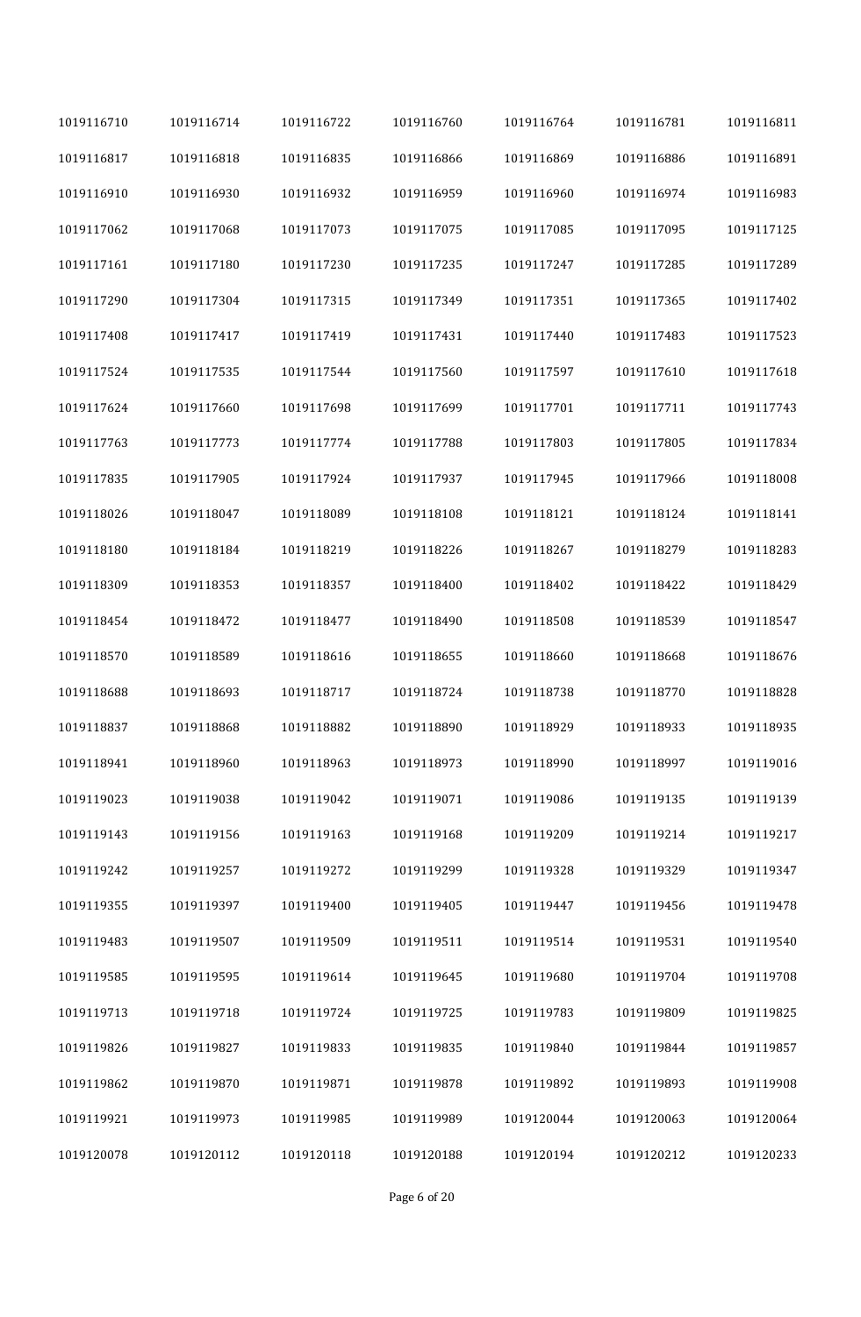| 1019116710 | 1019116714 | 1019116722 | 1019116760 | 1019116764 | 1019116781 | 1019116811 |
|------------|------------|------------|------------|------------|------------|------------|
| 1019116817 | 1019116818 | 1019116835 | 1019116866 | 1019116869 | 1019116886 | 1019116891 |
| 1019116910 | 1019116930 | 1019116932 | 1019116959 | 1019116960 | 1019116974 | 1019116983 |
| 1019117062 | 1019117068 | 1019117073 | 1019117075 | 1019117085 | 1019117095 | 1019117125 |
| 1019117161 | 1019117180 | 1019117230 | 1019117235 | 1019117247 | 1019117285 | 1019117289 |
| 1019117290 | 1019117304 | 1019117315 | 1019117349 | 1019117351 | 1019117365 | 1019117402 |
| 1019117408 | 1019117417 | 1019117419 | 1019117431 | 1019117440 | 1019117483 | 1019117523 |
| 1019117524 | 1019117535 | 1019117544 | 1019117560 | 1019117597 | 1019117610 | 1019117618 |
| 1019117624 | 1019117660 | 1019117698 | 1019117699 | 1019117701 | 1019117711 | 1019117743 |
| 1019117763 | 1019117773 | 1019117774 | 1019117788 | 1019117803 | 1019117805 | 1019117834 |
| 1019117835 | 1019117905 | 1019117924 | 1019117937 | 1019117945 | 1019117966 | 1019118008 |
| 1019118026 | 1019118047 | 1019118089 | 1019118108 | 1019118121 | 1019118124 | 1019118141 |
| 1019118180 | 1019118184 | 1019118219 | 1019118226 | 1019118267 | 1019118279 | 1019118283 |
| 1019118309 | 1019118353 | 1019118357 | 1019118400 | 1019118402 | 1019118422 | 1019118429 |
| 1019118454 | 1019118472 | 1019118477 | 1019118490 | 1019118508 | 1019118539 | 1019118547 |
| 1019118570 | 1019118589 | 1019118616 | 1019118655 | 1019118660 | 1019118668 | 1019118676 |
| 1019118688 | 1019118693 | 1019118717 | 1019118724 | 1019118738 | 1019118770 | 1019118828 |
| 1019118837 | 1019118868 | 1019118882 | 1019118890 | 1019118929 | 1019118933 | 1019118935 |
| 1019118941 | 1019118960 | 1019118963 | 1019118973 | 1019118990 | 1019118997 | 1019119016 |
| 1019119023 | 1019119038 | 1019119042 | 1019119071 | 1019119086 | 1019119135 | 1019119139 |
| 1019119143 | 1019119156 | 1019119163 | 1019119168 | 1019119209 | 1019119214 | 1019119217 |
| 1019119242 | 1019119257 | 1019119272 | 1019119299 | 1019119328 | 1019119329 | 1019119347 |
| 1019119355 | 1019119397 | 1019119400 | 1019119405 | 1019119447 | 1019119456 | 1019119478 |
| 1019119483 | 1019119507 | 1019119509 | 1019119511 | 1019119514 | 1019119531 | 1019119540 |
| 1019119585 | 1019119595 | 1019119614 | 1019119645 | 1019119680 | 1019119704 | 1019119708 |
| 1019119713 | 1019119718 | 1019119724 | 1019119725 | 1019119783 | 1019119809 | 1019119825 |
| 1019119826 | 1019119827 | 1019119833 | 1019119835 | 1019119840 | 1019119844 | 1019119857 |
| 1019119862 | 1019119870 | 1019119871 | 1019119878 | 1019119892 | 1019119893 | 1019119908 |
| 1019119921 | 1019119973 | 1019119985 | 1019119989 | 1019120044 | 1019120063 | 1019120064 |
| 1019120078 | 1019120112 | 1019120118 | 1019120188 | 1019120194 | 1019120212 | 1019120233 |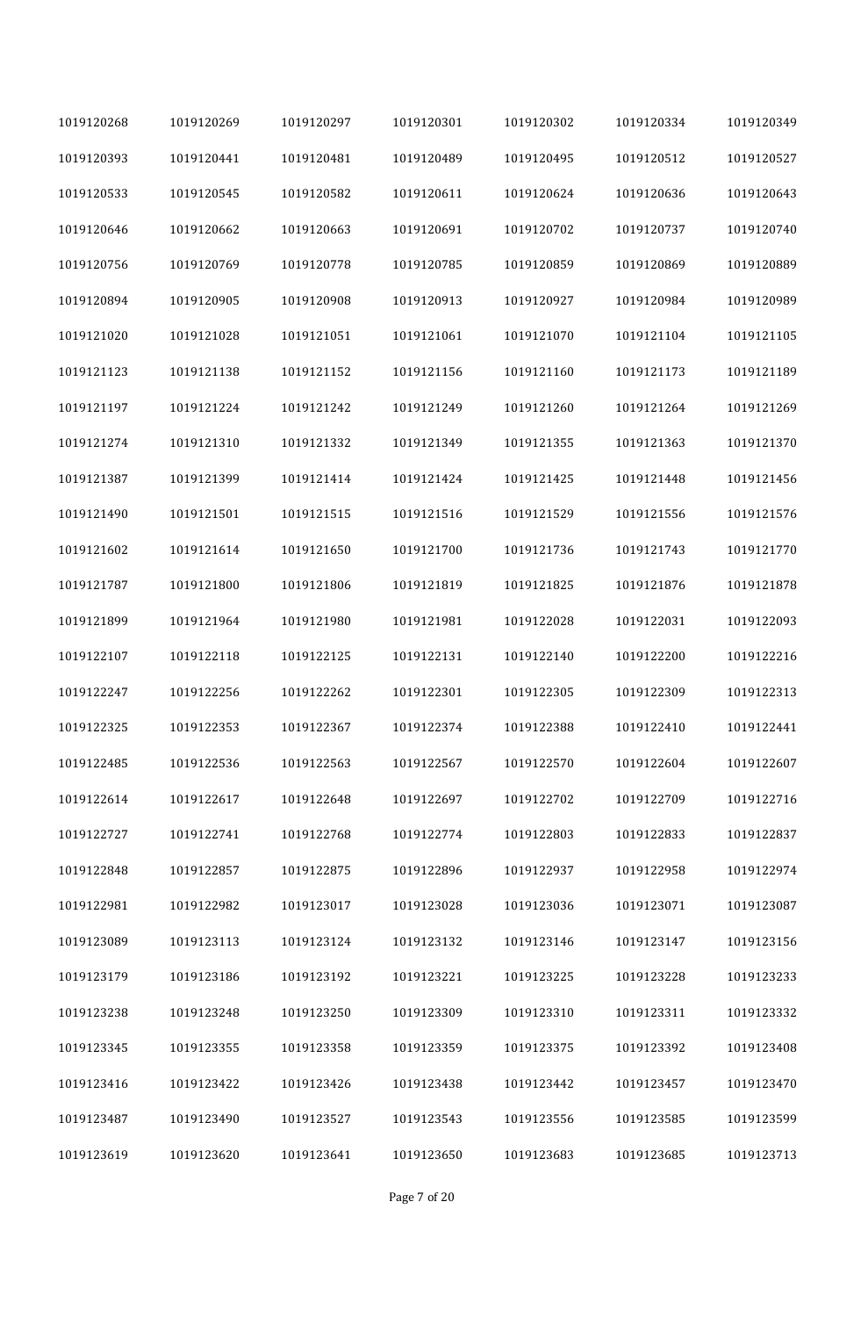| 1019120268 | 1019120269 | 1019120297 | 1019120301 | 1019120302 | 1019120334 | 1019120349 |
|------------|------------|------------|------------|------------|------------|------------|
| 1019120393 | 1019120441 | 1019120481 | 1019120489 | 1019120495 | 1019120512 | 1019120527 |
| 1019120533 | 1019120545 | 1019120582 | 1019120611 | 1019120624 | 1019120636 | 1019120643 |
| 1019120646 | 1019120662 | 1019120663 | 1019120691 | 1019120702 | 1019120737 | 1019120740 |
| 1019120756 | 1019120769 | 1019120778 | 1019120785 | 1019120859 | 1019120869 | 1019120889 |
| 1019120894 | 1019120905 | 1019120908 | 1019120913 | 1019120927 | 1019120984 | 1019120989 |
| 1019121020 | 1019121028 | 1019121051 | 1019121061 | 1019121070 | 1019121104 | 1019121105 |
| 1019121123 | 1019121138 | 1019121152 | 1019121156 | 1019121160 | 1019121173 | 1019121189 |
| 1019121197 | 1019121224 | 1019121242 | 1019121249 | 1019121260 | 1019121264 | 1019121269 |
| 1019121274 | 1019121310 | 1019121332 | 1019121349 | 1019121355 | 1019121363 | 1019121370 |
| 1019121387 | 1019121399 | 1019121414 | 1019121424 | 1019121425 | 1019121448 | 1019121456 |
| 1019121490 | 1019121501 | 1019121515 | 1019121516 | 1019121529 | 1019121556 | 1019121576 |
| 1019121602 | 1019121614 | 1019121650 | 1019121700 | 1019121736 | 1019121743 | 1019121770 |
| 1019121787 | 1019121800 | 1019121806 | 1019121819 | 1019121825 | 1019121876 | 1019121878 |
| 1019121899 | 1019121964 | 1019121980 | 1019121981 | 1019122028 | 1019122031 | 1019122093 |
| 1019122107 | 1019122118 | 1019122125 | 1019122131 | 1019122140 | 1019122200 | 1019122216 |
| 1019122247 | 1019122256 | 1019122262 | 1019122301 | 1019122305 | 1019122309 | 1019122313 |
| 1019122325 | 1019122353 | 1019122367 | 1019122374 | 1019122388 | 1019122410 | 1019122441 |
| 1019122485 | 1019122536 | 1019122563 | 1019122567 | 1019122570 | 1019122604 | 1019122607 |
| 1019122614 | 1019122617 | 1019122648 | 1019122697 | 1019122702 | 1019122709 | 1019122716 |
| 1019122727 | 1019122741 | 1019122768 | 1019122774 | 1019122803 | 1019122833 | 1019122837 |
| 1019122848 | 1019122857 | 1019122875 | 1019122896 | 1019122937 | 1019122958 | 1019122974 |
| 1019122981 | 1019122982 | 1019123017 | 1019123028 | 1019123036 | 1019123071 | 1019123087 |
| 1019123089 | 1019123113 | 1019123124 | 1019123132 | 1019123146 | 1019123147 | 1019123156 |
| 1019123179 | 1019123186 | 1019123192 | 1019123221 | 1019123225 | 1019123228 | 1019123233 |
| 1019123238 | 1019123248 | 1019123250 | 1019123309 | 1019123310 | 1019123311 | 1019123332 |
| 1019123345 | 1019123355 | 1019123358 | 1019123359 | 1019123375 | 1019123392 | 1019123408 |
| 1019123416 | 1019123422 | 1019123426 | 1019123438 | 1019123442 | 1019123457 | 1019123470 |
| 1019123487 | 1019123490 | 1019123527 | 1019123543 | 1019123556 | 1019123585 | 1019123599 |
| 1019123619 | 1019123620 | 1019123641 | 1019123650 | 1019123683 | 1019123685 | 1019123713 |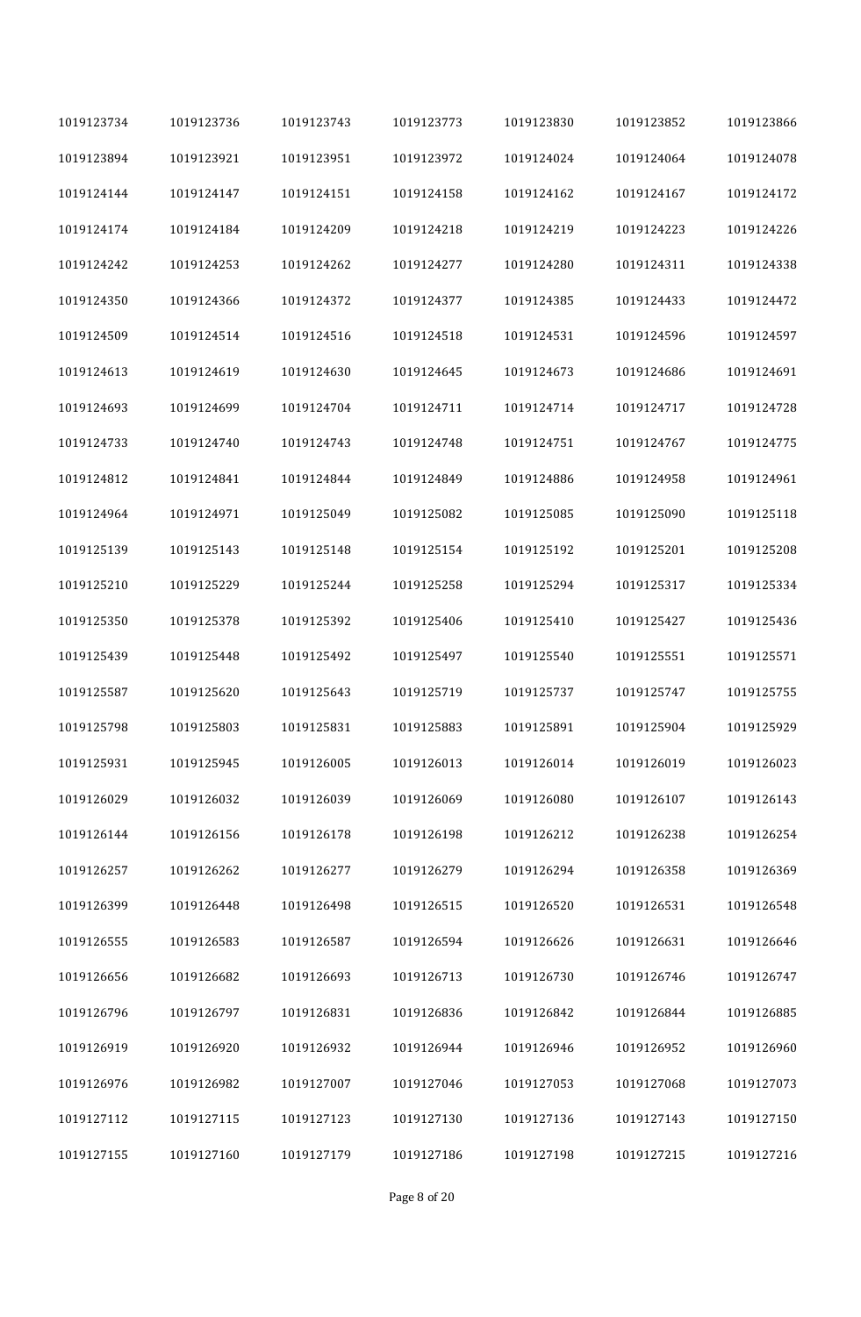| 1019123734 | 1019123736 | 1019123743 | 1019123773 | 1019123830 | 1019123852 | 1019123866 |
|------------|------------|------------|------------|------------|------------|------------|
| 1019123894 | 1019123921 | 1019123951 | 1019123972 | 1019124024 | 1019124064 | 1019124078 |
| 1019124144 | 1019124147 | 1019124151 | 1019124158 | 1019124162 | 1019124167 | 1019124172 |
| 1019124174 | 1019124184 | 1019124209 | 1019124218 | 1019124219 | 1019124223 | 1019124226 |
| 1019124242 | 1019124253 | 1019124262 | 1019124277 | 1019124280 | 1019124311 | 1019124338 |
| 1019124350 | 1019124366 | 1019124372 | 1019124377 | 1019124385 | 1019124433 | 1019124472 |
| 1019124509 | 1019124514 | 1019124516 | 1019124518 | 1019124531 | 1019124596 | 1019124597 |
| 1019124613 | 1019124619 | 1019124630 | 1019124645 | 1019124673 | 1019124686 | 1019124691 |
| 1019124693 | 1019124699 | 1019124704 | 1019124711 | 1019124714 | 1019124717 | 1019124728 |
| 1019124733 | 1019124740 | 1019124743 | 1019124748 | 1019124751 | 1019124767 | 1019124775 |
| 1019124812 | 1019124841 | 1019124844 | 1019124849 | 1019124886 | 1019124958 | 1019124961 |
| 1019124964 | 1019124971 | 1019125049 | 1019125082 | 1019125085 | 1019125090 | 1019125118 |
| 1019125139 | 1019125143 | 1019125148 | 1019125154 | 1019125192 | 1019125201 | 1019125208 |
| 1019125210 | 1019125229 | 1019125244 | 1019125258 | 1019125294 | 1019125317 | 1019125334 |
| 1019125350 | 1019125378 | 1019125392 | 1019125406 | 1019125410 | 1019125427 | 1019125436 |
| 1019125439 | 1019125448 | 1019125492 | 1019125497 | 1019125540 | 1019125551 | 1019125571 |
| 1019125587 | 1019125620 | 1019125643 | 1019125719 | 1019125737 | 1019125747 | 1019125755 |
| 1019125798 | 1019125803 | 1019125831 | 1019125883 | 1019125891 | 1019125904 | 1019125929 |
| 1019125931 | 1019125945 | 1019126005 | 1019126013 | 1019126014 | 1019126019 | 1019126023 |
| 1019126029 | 1019126032 | 1019126039 | 1019126069 | 1019126080 | 1019126107 | 1019126143 |
| 1019126144 | 1019126156 | 1019126178 | 1019126198 | 1019126212 | 1019126238 | 1019126254 |
| 1019126257 | 1019126262 | 1019126277 | 1019126279 | 1019126294 | 1019126358 | 1019126369 |
| 1019126399 | 1019126448 | 1019126498 | 1019126515 | 1019126520 | 1019126531 | 1019126548 |
| 1019126555 | 1019126583 | 1019126587 | 1019126594 | 1019126626 | 1019126631 | 1019126646 |
| 1019126656 | 1019126682 | 1019126693 | 1019126713 | 1019126730 | 1019126746 | 1019126747 |
| 1019126796 | 1019126797 | 1019126831 | 1019126836 | 1019126842 | 1019126844 | 1019126885 |
| 1019126919 | 1019126920 | 1019126932 | 1019126944 | 1019126946 | 1019126952 | 1019126960 |
| 1019126976 | 1019126982 | 1019127007 | 1019127046 | 1019127053 | 1019127068 | 1019127073 |
| 1019127112 | 1019127115 | 1019127123 | 1019127130 | 1019127136 | 1019127143 | 1019127150 |
| 1019127155 | 1019127160 | 1019127179 | 1019127186 | 1019127198 | 1019127215 | 1019127216 |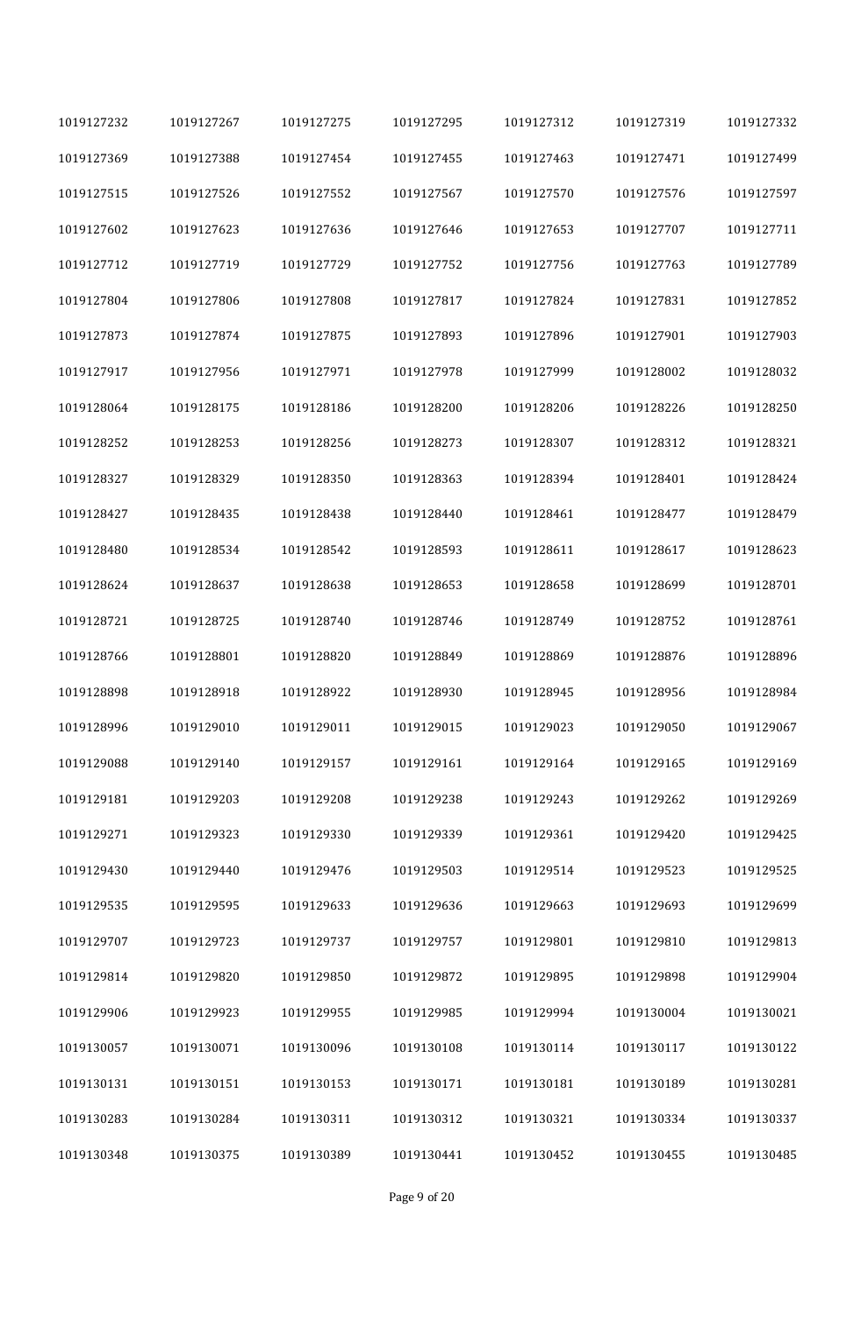| 1019127232 | 1019127267 | 1019127275 | 1019127295 | 1019127312 | 1019127319 | 1019127332 |
|------------|------------|------------|------------|------------|------------|------------|
| 1019127369 | 1019127388 | 1019127454 | 1019127455 | 1019127463 | 1019127471 | 1019127499 |
| 1019127515 | 1019127526 | 1019127552 | 1019127567 | 1019127570 | 1019127576 | 1019127597 |
| 1019127602 | 1019127623 | 1019127636 | 1019127646 | 1019127653 | 1019127707 | 1019127711 |
| 1019127712 | 1019127719 | 1019127729 | 1019127752 | 1019127756 | 1019127763 | 1019127789 |
| 1019127804 | 1019127806 | 1019127808 | 1019127817 | 1019127824 | 1019127831 | 1019127852 |
| 1019127873 | 1019127874 | 1019127875 | 1019127893 | 1019127896 | 1019127901 | 1019127903 |
| 1019127917 | 1019127956 | 1019127971 | 1019127978 | 1019127999 | 1019128002 | 1019128032 |
| 1019128064 | 1019128175 | 1019128186 | 1019128200 | 1019128206 | 1019128226 | 1019128250 |
| 1019128252 | 1019128253 | 1019128256 | 1019128273 | 1019128307 | 1019128312 | 1019128321 |
| 1019128327 | 1019128329 | 1019128350 | 1019128363 | 1019128394 | 1019128401 | 1019128424 |
| 1019128427 | 1019128435 | 1019128438 | 1019128440 | 1019128461 | 1019128477 | 1019128479 |
| 1019128480 | 1019128534 | 1019128542 | 1019128593 | 1019128611 | 1019128617 | 1019128623 |
| 1019128624 | 1019128637 | 1019128638 | 1019128653 | 1019128658 | 1019128699 | 1019128701 |
| 1019128721 | 1019128725 | 1019128740 | 1019128746 | 1019128749 | 1019128752 | 1019128761 |
| 1019128766 | 1019128801 | 1019128820 | 1019128849 | 1019128869 | 1019128876 | 1019128896 |
| 1019128898 | 1019128918 | 1019128922 | 1019128930 | 1019128945 | 1019128956 | 1019128984 |
| 1019128996 | 1019129010 | 1019129011 | 1019129015 | 1019129023 | 1019129050 | 1019129067 |
| 1019129088 | 1019129140 | 1019129157 | 1019129161 | 1019129164 | 1019129165 | 1019129169 |
| 1019129181 | 1019129203 | 1019129208 | 1019129238 | 1019129243 | 1019129262 | 1019129269 |
| 1019129271 | 1019129323 | 1019129330 | 1019129339 | 1019129361 | 1019129420 | 1019129425 |
| 1019129430 | 1019129440 | 1019129476 | 1019129503 | 1019129514 | 1019129523 | 1019129525 |
| 1019129535 | 1019129595 | 1019129633 | 1019129636 | 1019129663 | 1019129693 | 1019129699 |
| 1019129707 | 1019129723 | 1019129737 | 1019129757 | 1019129801 | 1019129810 | 1019129813 |
| 1019129814 | 1019129820 | 1019129850 | 1019129872 | 1019129895 | 1019129898 | 1019129904 |
| 1019129906 | 1019129923 | 1019129955 | 1019129985 | 1019129994 | 1019130004 | 1019130021 |
| 1019130057 | 1019130071 | 1019130096 | 1019130108 | 1019130114 | 1019130117 | 1019130122 |
| 1019130131 | 1019130151 | 1019130153 | 1019130171 | 1019130181 | 1019130189 | 1019130281 |
| 1019130283 | 1019130284 | 1019130311 | 1019130312 | 1019130321 | 1019130334 | 1019130337 |
| 1019130348 | 1019130375 | 1019130389 | 1019130441 | 1019130452 | 1019130455 | 1019130485 |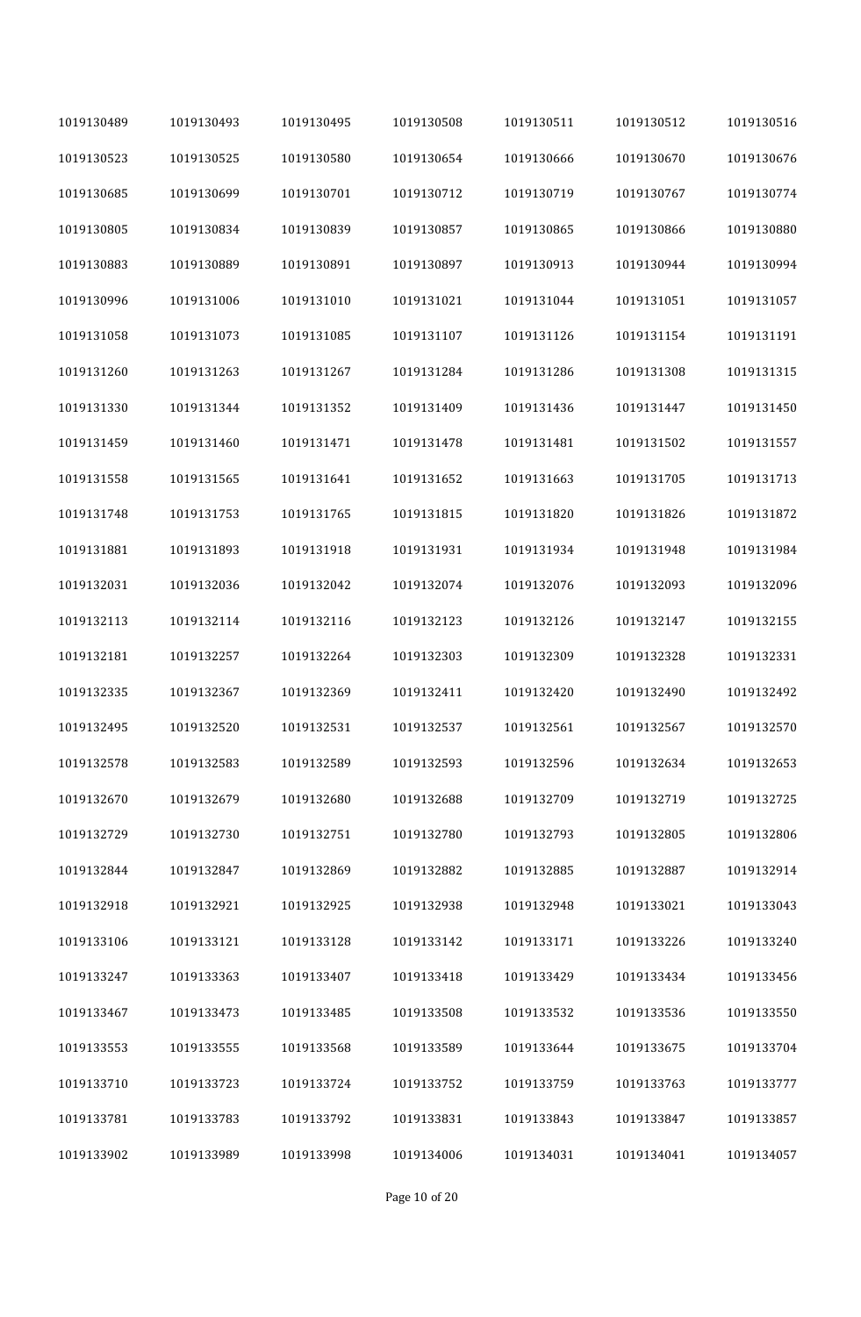| 1019130489 | 1019130493 | 1019130495 | 1019130508 | 1019130511 | 1019130512 | 1019130516 |
|------------|------------|------------|------------|------------|------------|------------|
| 1019130523 | 1019130525 | 1019130580 | 1019130654 | 1019130666 | 1019130670 | 1019130676 |
| 1019130685 | 1019130699 | 1019130701 | 1019130712 | 1019130719 | 1019130767 | 1019130774 |
| 1019130805 | 1019130834 | 1019130839 | 1019130857 | 1019130865 | 1019130866 | 1019130880 |
| 1019130883 | 1019130889 | 1019130891 | 1019130897 | 1019130913 | 1019130944 | 1019130994 |
| 1019130996 | 1019131006 | 1019131010 | 1019131021 | 1019131044 | 1019131051 | 1019131057 |
| 1019131058 | 1019131073 | 1019131085 | 1019131107 | 1019131126 | 1019131154 | 1019131191 |
| 1019131260 | 1019131263 | 1019131267 | 1019131284 | 1019131286 | 1019131308 | 1019131315 |
| 1019131330 | 1019131344 | 1019131352 | 1019131409 | 1019131436 | 1019131447 | 1019131450 |
| 1019131459 | 1019131460 | 1019131471 | 1019131478 | 1019131481 | 1019131502 | 1019131557 |
| 1019131558 | 1019131565 | 1019131641 | 1019131652 | 1019131663 | 1019131705 | 1019131713 |
| 1019131748 | 1019131753 | 1019131765 | 1019131815 | 1019131820 | 1019131826 | 1019131872 |
| 1019131881 | 1019131893 | 1019131918 | 1019131931 | 1019131934 | 1019131948 | 1019131984 |
| 1019132031 | 1019132036 | 1019132042 | 1019132074 | 1019132076 | 1019132093 | 1019132096 |
| 1019132113 | 1019132114 | 1019132116 | 1019132123 | 1019132126 | 1019132147 | 1019132155 |
| 1019132181 | 1019132257 | 1019132264 | 1019132303 | 1019132309 | 1019132328 | 1019132331 |
| 1019132335 | 1019132367 | 1019132369 | 1019132411 | 1019132420 | 1019132490 | 1019132492 |
| 1019132495 | 1019132520 | 1019132531 | 1019132537 | 1019132561 | 1019132567 | 1019132570 |
| 1019132578 | 1019132583 | 1019132589 | 1019132593 | 1019132596 | 1019132634 | 1019132653 |
| 1019132670 | 1019132679 | 1019132680 | 1019132688 | 1019132709 | 1019132719 | 1019132725 |
| 1019132729 | 1019132730 | 1019132751 | 1019132780 | 1019132793 | 1019132805 | 1019132806 |
| 1019132844 | 1019132847 | 1019132869 | 1019132882 | 1019132885 | 1019132887 | 1019132914 |
| 1019132918 | 1019132921 | 1019132925 | 1019132938 | 1019132948 | 1019133021 | 1019133043 |
| 1019133106 | 1019133121 | 1019133128 | 1019133142 | 1019133171 | 1019133226 | 1019133240 |
| 1019133247 | 1019133363 | 1019133407 | 1019133418 | 1019133429 | 1019133434 | 1019133456 |
| 1019133467 | 1019133473 | 1019133485 | 1019133508 | 1019133532 | 1019133536 | 1019133550 |
| 1019133553 | 1019133555 | 1019133568 | 1019133589 | 1019133644 | 1019133675 | 1019133704 |
| 1019133710 | 1019133723 | 1019133724 | 1019133752 | 1019133759 | 1019133763 | 1019133777 |
| 1019133781 | 1019133783 | 1019133792 | 1019133831 | 1019133843 | 1019133847 | 1019133857 |
| 1019133902 | 1019133989 | 1019133998 | 1019134006 | 1019134031 | 1019134041 | 1019134057 |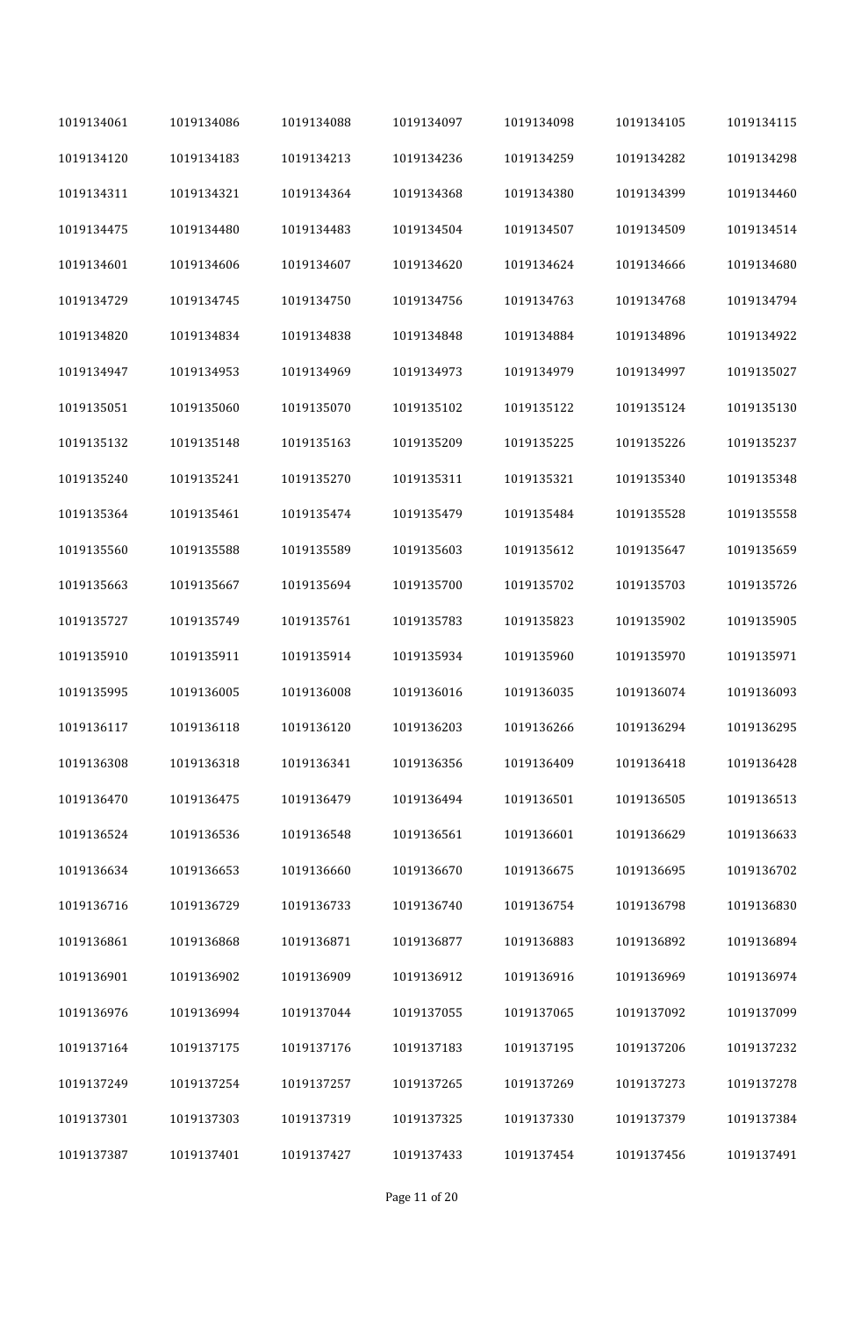| 1019134061 | 1019134086 | 1019134088 | 1019134097 | 1019134098 | 1019134105 | 1019134115 |
|------------|------------|------------|------------|------------|------------|------------|
| 1019134120 | 1019134183 | 1019134213 | 1019134236 | 1019134259 | 1019134282 | 1019134298 |
| 1019134311 | 1019134321 | 1019134364 | 1019134368 | 1019134380 | 1019134399 | 1019134460 |
| 1019134475 | 1019134480 | 1019134483 | 1019134504 | 1019134507 | 1019134509 | 1019134514 |
| 1019134601 | 1019134606 | 1019134607 | 1019134620 | 1019134624 | 1019134666 | 1019134680 |
| 1019134729 | 1019134745 | 1019134750 | 1019134756 | 1019134763 | 1019134768 | 1019134794 |
| 1019134820 | 1019134834 | 1019134838 | 1019134848 | 1019134884 | 1019134896 | 1019134922 |
| 1019134947 | 1019134953 | 1019134969 | 1019134973 | 1019134979 | 1019134997 | 1019135027 |
| 1019135051 | 1019135060 | 1019135070 | 1019135102 | 1019135122 | 1019135124 | 1019135130 |
| 1019135132 | 1019135148 | 1019135163 | 1019135209 | 1019135225 | 1019135226 | 1019135237 |
| 1019135240 | 1019135241 | 1019135270 | 1019135311 | 1019135321 | 1019135340 | 1019135348 |
| 1019135364 | 1019135461 | 1019135474 | 1019135479 | 1019135484 | 1019135528 | 1019135558 |
| 1019135560 | 1019135588 | 1019135589 | 1019135603 | 1019135612 | 1019135647 | 1019135659 |
| 1019135663 | 1019135667 | 1019135694 | 1019135700 | 1019135702 | 1019135703 | 1019135726 |
| 1019135727 | 1019135749 | 1019135761 | 1019135783 | 1019135823 | 1019135902 | 1019135905 |
| 1019135910 | 1019135911 | 1019135914 | 1019135934 | 1019135960 | 1019135970 | 1019135971 |
| 1019135995 | 1019136005 | 1019136008 | 1019136016 | 1019136035 | 1019136074 | 1019136093 |
| 1019136117 | 1019136118 | 1019136120 | 1019136203 | 1019136266 | 1019136294 | 1019136295 |
| 1019136308 | 1019136318 | 1019136341 | 1019136356 | 1019136409 | 1019136418 | 1019136428 |
| 1019136470 | 1019136475 | 1019136479 | 1019136494 | 1019136501 | 1019136505 | 1019136513 |
| 1019136524 | 1019136536 | 1019136548 | 1019136561 | 1019136601 | 1019136629 | 1019136633 |
| 1019136634 | 1019136653 | 1019136660 | 1019136670 | 1019136675 | 1019136695 | 1019136702 |
| 1019136716 | 1019136729 | 1019136733 | 1019136740 | 1019136754 | 1019136798 | 1019136830 |
| 1019136861 | 1019136868 | 1019136871 | 1019136877 | 1019136883 | 1019136892 | 1019136894 |
| 1019136901 | 1019136902 | 1019136909 | 1019136912 | 1019136916 | 1019136969 | 1019136974 |
| 1019136976 | 1019136994 | 1019137044 | 1019137055 | 1019137065 | 1019137092 | 1019137099 |
| 1019137164 | 1019137175 | 1019137176 | 1019137183 | 1019137195 | 1019137206 | 1019137232 |
| 1019137249 | 1019137254 | 1019137257 | 1019137265 | 1019137269 | 1019137273 | 1019137278 |
| 1019137301 | 1019137303 | 1019137319 | 1019137325 | 1019137330 | 1019137379 | 1019137384 |
| 1019137387 | 1019137401 | 1019137427 | 1019137433 | 1019137454 | 1019137456 | 1019137491 |

Page 11 of 20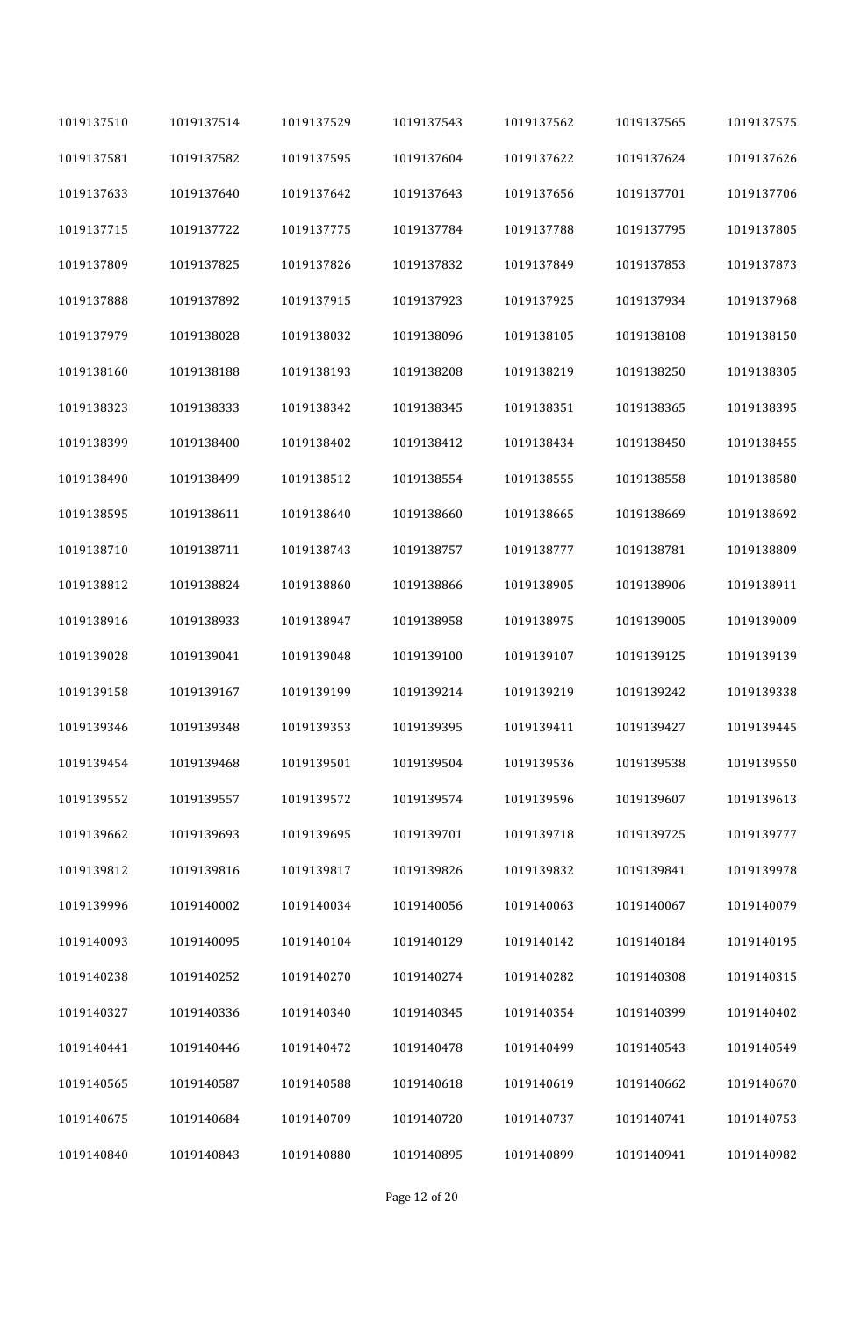| 1019137510 | 1019137514 | 1019137529 | 1019137543 | 1019137562 | 1019137565 | 1019137575 |
|------------|------------|------------|------------|------------|------------|------------|
| 1019137581 | 1019137582 | 1019137595 | 1019137604 | 1019137622 | 1019137624 | 1019137626 |
| 1019137633 | 1019137640 | 1019137642 | 1019137643 | 1019137656 | 1019137701 | 1019137706 |
| 1019137715 | 1019137722 | 1019137775 | 1019137784 | 1019137788 | 1019137795 | 1019137805 |
| 1019137809 | 1019137825 | 1019137826 | 1019137832 | 1019137849 | 1019137853 | 1019137873 |
| 1019137888 | 1019137892 | 1019137915 | 1019137923 | 1019137925 | 1019137934 | 1019137968 |
| 1019137979 | 1019138028 | 1019138032 | 1019138096 | 1019138105 | 1019138108 | 1019138150 |
| 1019138160 | 1019138188 | 1019138193 | 1019138208 | 1019138219 | 1019138250 | 1019138305 |
| 1019138323 | 1019138333 | 1019138342 | 1019138345 | 1019138351 | 1019138365 | 1019138395 |
| 1019138399 | 1019138400 | 1019138402 | 1019138412 | 1019138434 | 1019138450 | 1019138455 |
| 1019138490 | 1019138499 | 1019138512 | 1019138554 | 1019138555 | 1019138558 | 1019138580 |
| 1019138595 | 1019138611 | 1019138640 | 1019138660 | 1019138665 | 1019138669 | 1019138692 |
| 1019138710 | 1019138711 | 1019138743 | 1019138757 | 1019138777 | 1019138781 | 1019138809 |
| 1019138812 | 1019138824 | 1019138860 | 1019138866 | 1019138905 | 1019138906 | 1019138911 |
| 1019138916 | 1019138933 | 1019138947 | 1019138958 | 1019138975 | 1019139005 | 1019139009 |
| 1019139028 | 1019139041 | 1019139048 | 1019139100 | 1019139107 | 1019139125 | 1019139139 |
| 1019139158 | 1019139167 | 1019139199 | 1019139214 | 1019139219 | 1019139242 | 1019139338 |
| 1019139346 | 1019139348 | 1019139353 | 1019139395 | 1019139411 | 1019139427 | 1019139445 |
| 1019139454 | 1019139468 | 1019139501 | 1019139504 | 1019139536 | 1019139538 | 1019139550 |
| 1019139552 | 1019139557 | 1019139572 | 1019139574 | 1019139596 | 1019139607 | 1019139613 |
| 1019139662 | 1019139693 | 1019139695 | 1019139701 | 1019139718 | 1019139725 | 1019139777 |
| 1019139812 | 1019139816 | 1019139817 | 1019139826 | 1019139832 | 1019139841 | 1019139978 |
| 1019139996 | 1019140002 | 1019140034 | 1019140056 | 1019140063 | 1019140067 | 1019140079 |
| 1019140093 | 1019140095 | 1019140104 | 1019140129 | 1019140142 | 1019140184 | 1019140195 |
| 1019140238 | 1019140252 | 1019140270 | 1019140274 | 1019140282 | 1019140308 | 1019140315 |
| 1019140327 | 1019140336 | 1019140340 | 1019140345 | 1019140354 | 1019140399 | 1019140402 |
| 1019140441 | 1019140446 | 1019140472 | 1019140478 | 1019140499 | 1019140543 | 1019140549 |
| 1019140565 | 1019140587 | 1019140588 | 1019140618 | 1019140619 | 1019140662 | 1019140670 |
| 1019140675 | 1019140684 | 1019140709 | 1019140720 | 1019140737 | 1019140741 | 1019140753 |
| 1019140840 | 1019140843 | 1019140880 | 1019140895 | 1019140899 | 1019140941 | 1019140982 |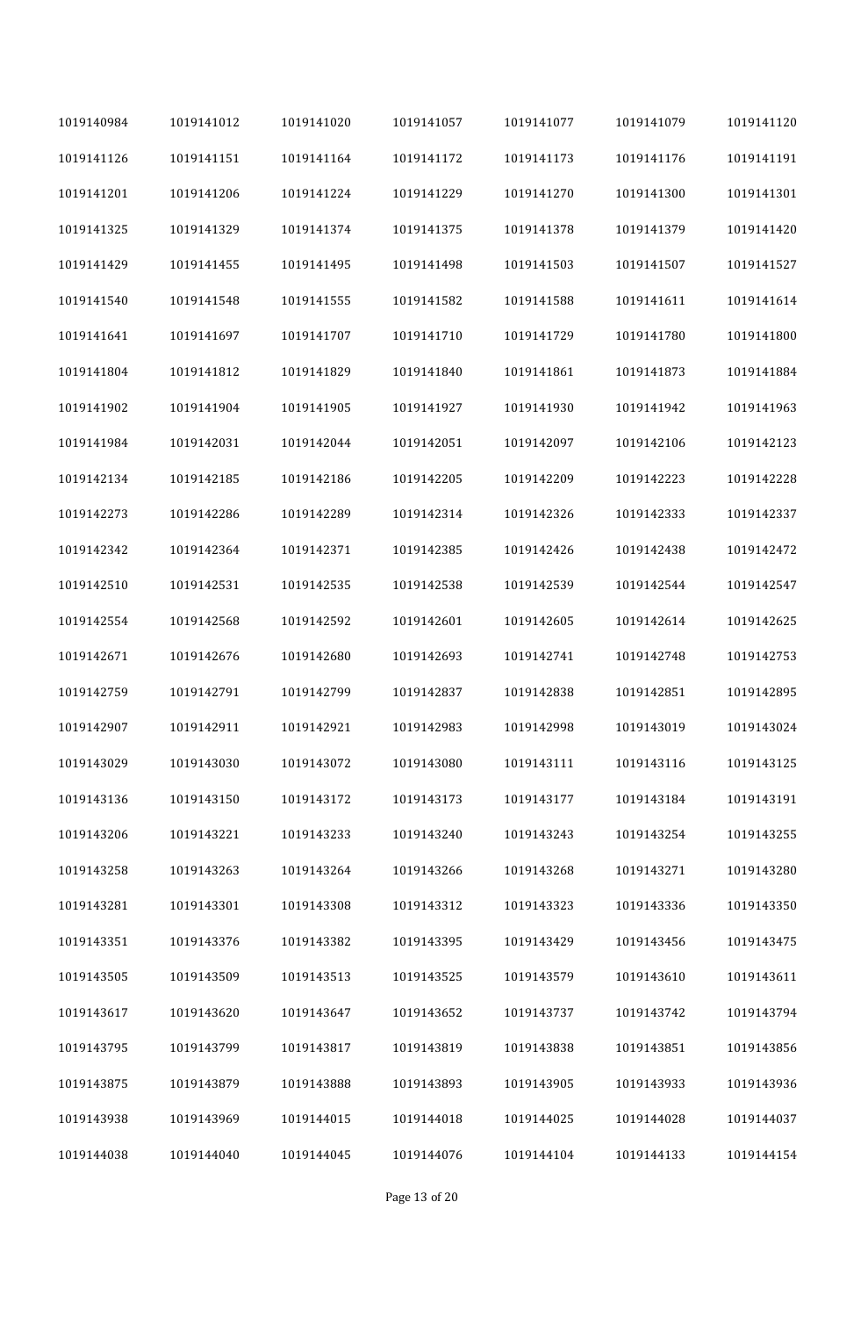| 1019140984 | 1019141012 | 1019141020 | 1019141057 | 1019141077 | 1019141079 | 1019141120 |
|------------|------------|------------|------------|------------|------------|------------|
| 1019141126 | 1019141151 | 1019141164 | 1019141172 | 1019141173 | 1019141176 | 1019141191 |
| 1019141201 | 1019141206 | 1019141224 | 1019141229 | 1019141270 | 1019141300 | 1019141301 |
| 1019141325 | 1019141329 | 1019141374 | 1019141375 | 1019141378 | 1019141379 | 1019141420 |
| 1019141429 | 1019141455 | 1019141495 | 1019141498 | 1019141503 | 1019141507 | 1019141527 |
| 1019141540 | 1019141548 | 1019141555 | 1019141582 | 1019141588 | 1019141611 | 1019141614 |
| 1019141641 | 1019141697 | 1019141707 | 1019141710 | 1019141729 | 1019141780 | 1019141800 |
| 1019141804 | 1019141812 | 1019141829 | 1019141840 | 1019141861 | 1019141873 | 1019141884 |
| 1019141902 | 1019141904 | 1019141905 | 1019141927 | 1019141930 | 1019141942 | 1019141963 |
| 1019141984 | 1019142031 | 1019142044 | 1019142051 | 1019142097 | 1019142106 | 1019142123 |
| 1019142134 | 1019142185 | 1019142186 | 1019142205 | 1019142209 | 1019142223 | 1019142228 |
| 1019142273 | 1019142286 | 1019142289 | 1019142314 | 1019142326 | 1019142333 | 1019142337 |
| 1019142342 | 1019142364 | 1019142371 | 1019142385 | 1019142426 | 1019142438 | 1019142472 |
| 1019142510 | 1019142531 | 1019142535 | 1019142538 | 1019142539 | 1019142544 | 1019142547 |
| 1019142554 | 1019142568 | 1019142592 | 1019142601 | 1019142605 | 1019142614 | 1019142625 |
| 1019142671 | 1019142676 | 1019142680 | 1019142693 | 1019142741 | 1019142748 | 1019142753 |
| 1019142759 | 1019142791 | 1019142799 | 1019142837 | 1019142838 | 1019142851 | 1019142895 |
| 1019142907 | 1019142911 | 1019142921 | 1019142983 | 1019142998 | 1019143019 | 1019143024 |
| 1019143029 | 1019143030 | 1019143072 | 1019143080 | 1019143111 | 1019143116 | 1019143125 |
| 1019143136 | 1019143150 | 1019143172 | 1019143173 | 1019143177 | 1019143184 | 1019143191 |
| 1019143206 | 1019143221 | 1019143233 | 1019143240 | 1019143243 | 1019143254 | 1019143255 |
| 1019143258 | 1019143263 | 1019143264 | 1019143266 | 1019143268 | 1019143271 | 1019143280 |
| 1019143281 | 1019143301 | 1019143308 | 1019143312 | 1019143323 | 1019143336 | 1019143350 |
| 1019143351 | 1019143376 | 1019143382 | 1019143395 | 1019143429 | 1019143456 | 1019143475 |
| 1019143505 | 1019143509 | 1019143513 | 1019143525 | 1019143579 | 1019143610 | 1019143611 |
| 1019143617 | 1019143620 | 1019143647 | 1019143652 | 1019143737 | 1019143742 | 1019143794 |
| 1019143795 | 1019143799 | 1019143817 | 1019143819 | 1019143838 | 1019143851 | 1019143856 |
| 1019143875 | 1019143879 | 1019143888 | 1019143893 | 1019143905 | 1019143933 | 1019143936 |
| 1019143938 | 1019143969 | 1019144015 | 1019144018 | 1019144025 | 1019144028 | 1019144037 |
| 1019144038 | 1019144040 | 1019144045 | 1019144076 | 1019144104 | 1019144133 | 1019144154 |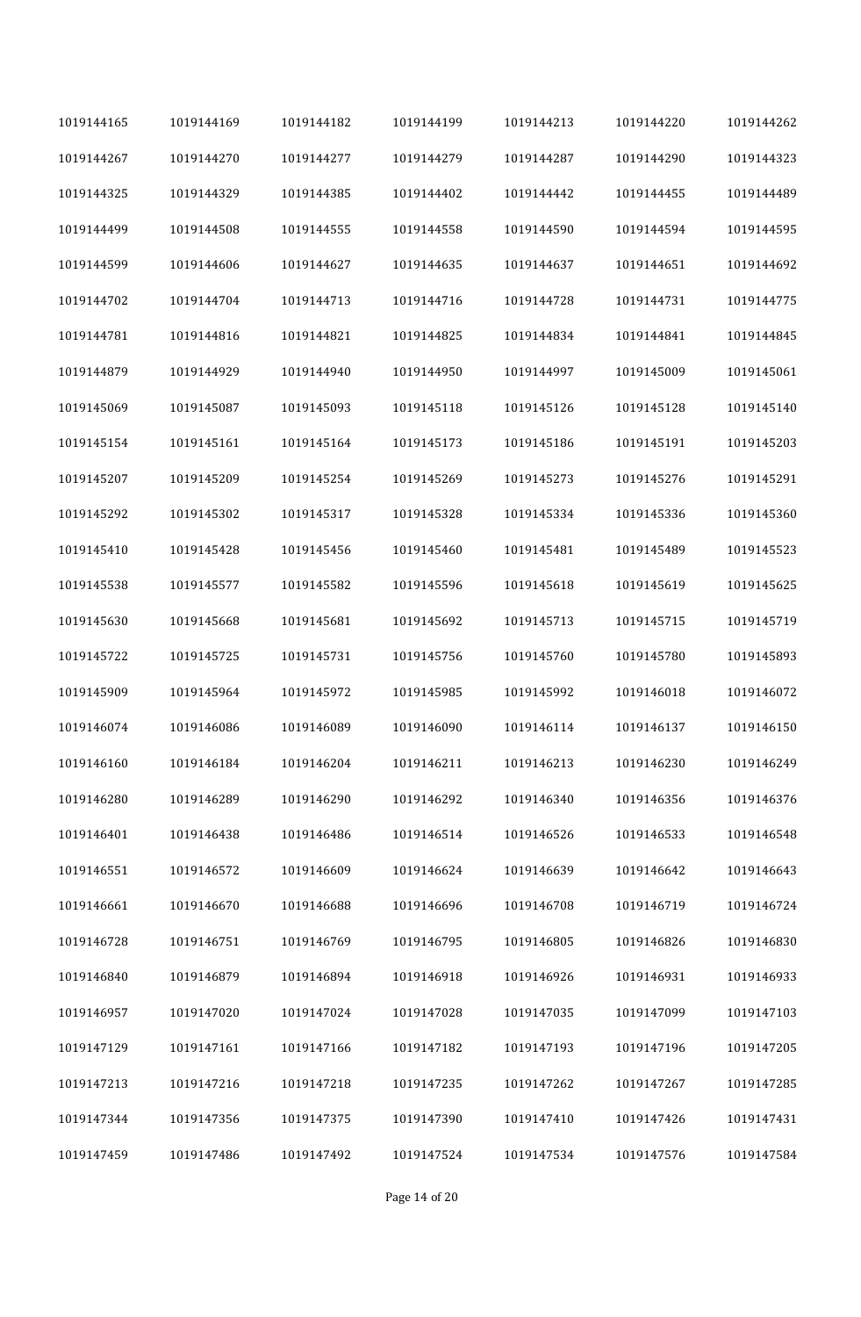| 1019144165 | 1019144169 | 1019144182 | 1019144199 | 1019144213 | 1019144220 | 1019144262 |
|------------|------------|------------|------------|------------|------------|------------|
| 1019144267 | 1019144270 | 1019144277 | 1019144279 | 1019144287 | 1019144290 | 1019144323 |
| 1019144325 | 1019144329 | 1019144385 | 1019144402 | 1019144442 | 1019144455 | 1019144489 |
| 1019144499 | 1019144508 | 1019144555 | 1019144558 | 1019144590 | 1019144594 | 1019144595 |
| 1019144599 | 1019144606 | 1019144627 | 1019144635 | 1019144637 | 1019144651 | 1019144692 |
| 1019144702 | 1019144704 | 1019144713 | 1019144716 | 1019144728 | 1019144731 | 1019144775 |
| 1019144781 | 1019144816 | 1019144821 | 1019144825 | 1019144834 | 1019144841 | 1019144845 |
| 1019144879 | 1019144929 | 1019144940 | 1019144950 | 1019144997 | 1019145009 | 1019145061 |
| 1019145069 | 1019145087 | 1019145093 | 1019145118 | 1019145126 | 1019145128 | 1019145140 |
| 1019145154 | 1019145161 | 1019145164 | 1019145173 | 1019145186 | 1019145191 | 1019145203 |
| 1019145207 | 1019145209 | 1019145254 | 1019145269 | 1019145273 | 1019145276 | 1019145291 |
| 1019145292 | 1019145302 | 1019145317 | 1019145328 | 1019145334 | 1019145336 | 1019145360 |
| 1019145410 | 1019145428 | 1019145456 | 1019145460 | 1019145481 | 1019145489 | 1019145523 |
| 1019145538 | 1019145577 | 1019145582 | 1019145596 | 1019145618 | 1019145619 | 1019145625 |
| 1019145630 | 1019145668 | 1019145681 | 1019145692 | 1019145713 | 1019145715 | 1019145719 |
| 1019145722 | 1019145725 | 1019145731 | 1019145756 | 1019145760 | 1019145780 | 1019145893 |
| 1019145909 | 1019145964 | 1019145972 | 1019145985 | 1019145992 | 1019146018 | 1019146072 |
| 1019146074 | 1019146086 | 1019146089 | 1019146090 | 1019146114 | 1019146137 | 1019146150 |
| 1019146160 | 1019146184 | 1019146204 | 1019146211 | 1019146213 | 1019146230 | 1019146249 |
| 1019146280 | 1019146289 | 1019146290 | 1019146292 | 1019146340 | 1019146356 | 1019146376 |
| 1019146401 | 1019146438 | 1019146486 | 1019146514 | 1019146526 | 1019146533 | 1019146548 |
| 1019146551 | 1019146572 | 1019146609 | 1019146624 | 1019146639 | 1019146642 | 1019146643 |
| 1019146661 | 1019146670 | 1019146688 | 1019146696 | 1019146708 | 1019146719 | 1019146724 |
| 1019146728 | 1019146751 | 1019146769 | 1019146795 | 1019146805 | 1019146826 | 1019146830 |
| 1019146840 | 1019146879 | 1019146894 | 1019146918 | 1019146926 | 1019146931 | 1019146933 |
| 1019146957 | 1019147020 | 1019147024 | 1019147028 | 1019147035 | 1019147099 | 1019147103 |
| 1019147129 | 1019147161 | 1019147166 | 1019147182 | 1019147193 | 1019147196 | 1019147205 |
| 1019147213 | 1019147216 | 1019147218 | 1019147235 | 1019147262 | 1019147267 | 1019147285 |
| 1019147344 | 1019147356 | 1019147375 | 1019147390 | 1019147410 | 1019147426 | 1019147431 |
| 1019147459 | 1019147486 | 1019147492 | 1019147524 | 1019147534 | 1019147576 | 1019147584 |

Page 14 of 20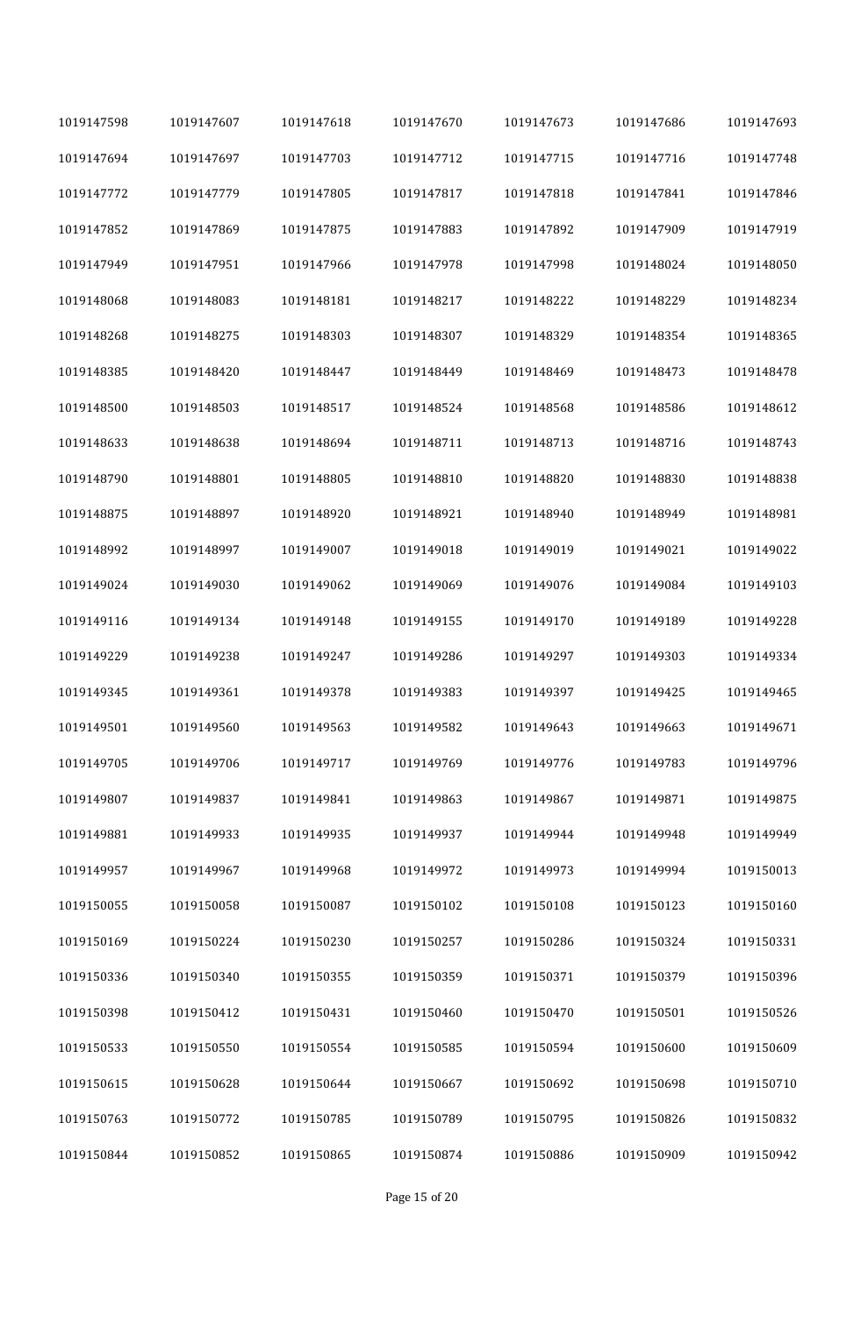| 1019147598 | 1019147607 | 1019147618 | 1019147670 | 1019147673 | 1019147686 | 1019147693 |
|------------|------------|------------|------------|------------|------------|------------|
| 1019147694 | 1019147697 | 1019147703 | 1019147712 | 1019147715 | 1019147716 | 1019147748 |
| 1019147772 | 1019147779 | 1019147805 | 1019147817 | 1019147818 | 1019147841 | 1019147846 |
| 1019147852 | 1019147869 | 1019147875 | 1019147883 | 1019147892 | 1019147909 | 1019147919 |
| 1019147949 | 1019147951 | 1019147966 | 1019147978 | 1019147998 | 1019148024 | 1019148050 |
| 1019148068 | 1019148083 | 1019148181 | 1019148217 | 1019148222 | 1019148229 | 1019148234 |
| 1019148268 | 1019148275 | 1019148303 | 1019148307 | 1019148329 | 1019148354 | 1019148365 |
| 1019148385 | 1019148420 | 1019148447 | 1019148449 | 1019148469 | 1019148473 | 1019148478 |
| 1019148500 | 1019148503 | 1019148517 | 1019148524 | 1019148568 | 1019148586 | 1019148612 |
| 1019148633 | 1019148638 | 1019148694 | 1019148711 | 1019148713 | 1019148716 | 1019148743 |
| 1019148790 | 1019148801 | 1019148805 | 1019148810 | 1019148820 | 1019148830 | 1019148838 |
| 1019148875 | 1019148897 | 1019148920 | 1019148921 | 1019148940 | 1019148949 | 1019148981 |
| 1019148992 | 1019148997 | 1019149007 | 1019149018 | 1019149019 | 1019149021 | 1019149022 |
| 1019149024 | 1019149030 | 1019149062 | 1019149069 | 1019149076 | 1019149084 | 1019149103 |
| 1019149116 | 1019149134 | 1019149148 | 1019149155 | 1019149170 | 1019149189 | 1019149228 |
| 1019149229 | 1019149238 | 1019149247 | 1019149286 | 1019149297 | 1019149303 | 1019149334 |
| 1019149345 | 1019149361 | 1019149378 | 1019149383 | 1019149397 | 1019149425 | 1019149465 |
| 1019149501 | 1019149560 | 1019149563 | 1019149582 | 1019149643 | 1019149663 | 1019149671 |
| 1019149705 | 1019149706 | 1019149717 | 1019149769 | 1019149776 | 1019149783 | 1019149796 |
| 1019149807 | 1019149837 | 1019149841 | 1019149863 | 1019149867 | 1019149871 | 1019149875 |
| 1019149881 | 1019149933 | 1019149935 | 1019149937 | 1019149944 | 1019149948 | 1019149949 |
| 1019149957 | 1019149967 | 1019149968 | 1019149972 | 1019149973 | 1019149994 | 1019150013 |
| 1019150055 | 1019150058 | 1019150087 | 1019150102 | 1019150108 | 1019150123 | 1019150160 |
| 1019150169 | 1019150224 | 1019150230 | 1019150257 | 1019150286 | 1019150324 | 1019150331 |
| 1019150336 | 1019150340 | 1019150355 | 1019150359 | 1019150371 | 1019150379 | 1019150396 |
| 1019150398 | 1019150412 | 1019150431 | 1019150460 | 1019150470 | 1019150501 | 1019150526 |
| 1019150533 | 1019150550 | 1019150554 | 1019150585 | 1019150594 | 1019150600 | 1019150609 |
| 1019150615 | 1019150628 | 1019150644 | 1019150667 | 1019150692 | 1019150698 | 1019150710 |
| 1019150763 | 1019150772 | 1019150785 | 1019150789 | 1019150795 | 1019150826 | 1019150832 |
| 1019150844 | 1019150852 | 1019150865 | 1019150874 | 1019150886 | 1019150909 | 1019150942 |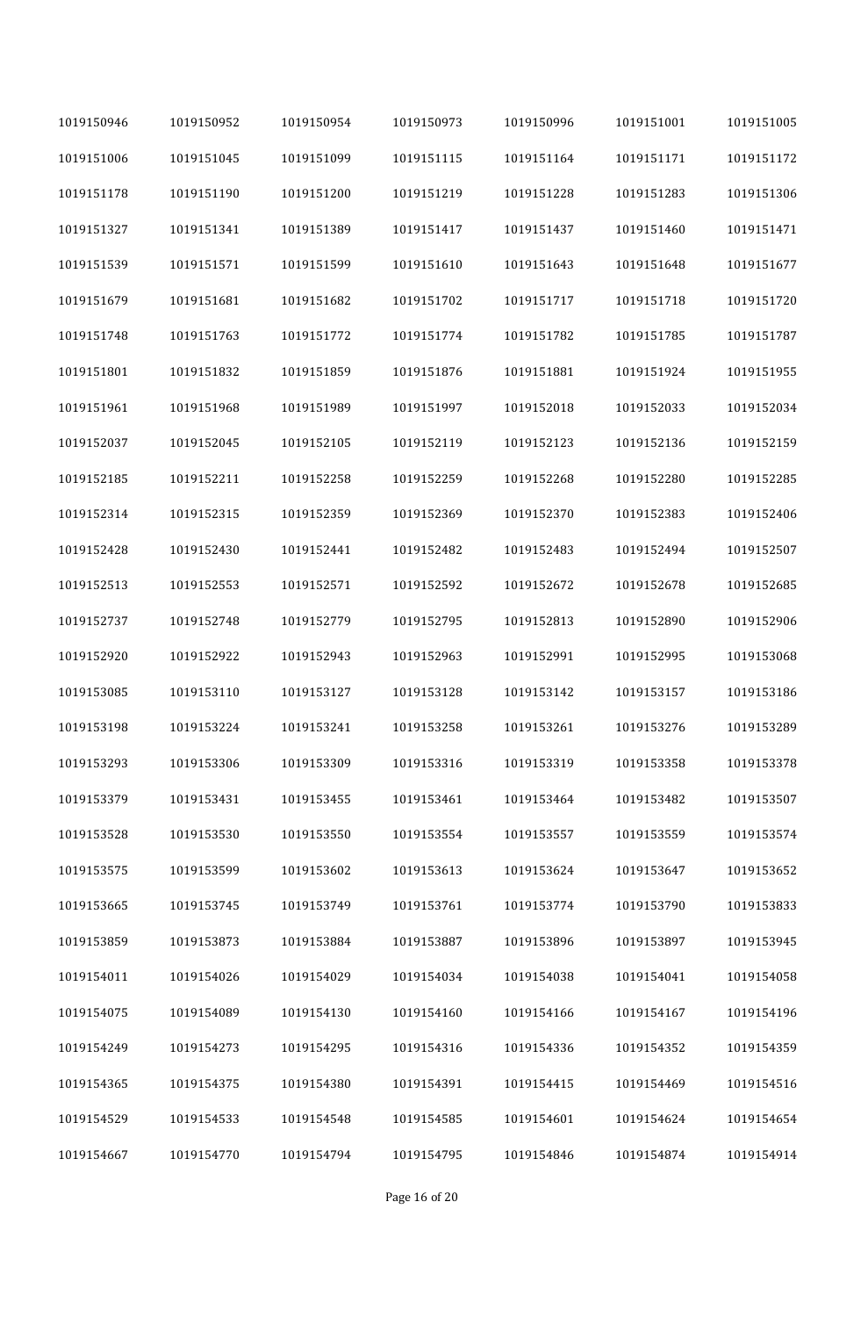| 1019150946 | 1019150952 | 1019150954 | 1019150973 | 1019150996 | 1019151001 | 1019151005 |
|------------|------------|------------|------------|------------|------------|------------|
| 1019151006 | 1019151045 | 1019151099 | 1019151115 | 1019151164 | 1019151171 | 1019151172 |
| 1019151178 | 1019151190 | 1019151200 | 1019151219 | 1019151228 | 1019151283 | 1019151306 |
| 1019151327 | 1019151341 | 1019151389 | 1019151417 | 1019151437 | 1019151460 | 1019151471 |
| 1019151539 | 1019151571 | 1019151599 | 1019151610 | 1019151643 | 1019151648 | 1019151677 |
| 1019151679 | 1019151681 | 1019151682 | 1019151702 | 1019151717 | 1019151718 | 1019151720 |
| 1019151748 | 1019151763 | 1019151772 | 1019151774 | 1019151782 | 1019151785 | 1019151787 |
| 1019151801 | 1019151832 | 1019151859 | 1019151876 | 1019151881 | 1019151924 | 1019151955 |
| 1019151961 | 1019151968 | 1019151989 | 1019151997 | 1019152018 | 1019152033 | 1019152034 |
| 1019152037 | 1019152045 | 1019152105 | 1019152119 | 1019152123 | 1019152136 | 1019152159 |
| 1019152185 | 1019152211 | 1019152258 | 1019152259 | 1019152268 | 1019152280 | 1019152285 |
| 1019152314 | 1019152315 | 1019152359 | 1019152369 | 1019152370 | 1019152383 | 1019152406 |
| 1019152428 | 1019152430 | 1019152441 | 1019152482 | 1019152483 | 1019152494 | 1019152507 |
| 1019152513 | 1019152553 | 1019152571 | 1019152592 | 1019152672 | 1019152678 | 1019152685 |
| 1019152737 | 1019152748 | 1019152779 | 1019152795 | 1019152813 | 1019152890 | 1019152906 |
| 1019152920 | 1019152922 | 1019152943 | 1019152963 | 1019152991 | 1019152995 | 1019153068 |
| 1019153085 | 1019153110 | 1019153127 | 1019153128 | 1019153142 | 1019153157 | 1019153186 |
| 1019153198 | 1019153224 | 1019153241 | 1019153258 | 1019153261 | 1019153276 | 1019153289 |
| 1019153293 | 1019153306 | 1019153309 | 1019153316 | 1019153319 | 1019153358 | 1019153378 |
| 1019153379 | 1019153431 | 1019153455 | 1019153461 | 1019153464 | 1019153482 | 1019153507 |
| 1019153528 | 1019153530 | 1019153550 | 1019153554 | 1019153557 | 1019153559 | 1019153574 |
| 1019153575 | 1019153599 | 1019153602 | 1019153613 | 1019153624 | 1019153647 | 1019153652 |
| 1019153665 | 1019153745 | 1019153749 | 1019153761 | 1019153774 | 1019153790 | 1019153833 |
| 1019153859 | 1019153873 | 1019153884 | 1019153887 | 1019153896 | 1019153897 | 1019153945 |
| 1019154011 | 1019154026 | 1019154029 | 1019154034 | 1019154038 | 1019154041 | 1019154058 |
| 1019154075 | 1019154089 | 1019154130 | 1019154160 | 1019154166 | 1019154167 | 1019154196 |
| 1019154249 | 1019154273 | 1019154295 | 1019154316 | 1019154336 | 1019154352 | 1019154359 |
| 1019154365 | 1019154375 | 1019154380 | 1019154391 | 1019154415 | 1019154469 | 1019154516 |
| 1019154529 | 1019154533 | 1019154548 | 1019154585 | 1019154601 | 1019154624 | 1019154654 |
| 1019154667 | 1019154770 | 1019154794 | 1019154795 | 1019154846 | 1019154874 | 1019154914 |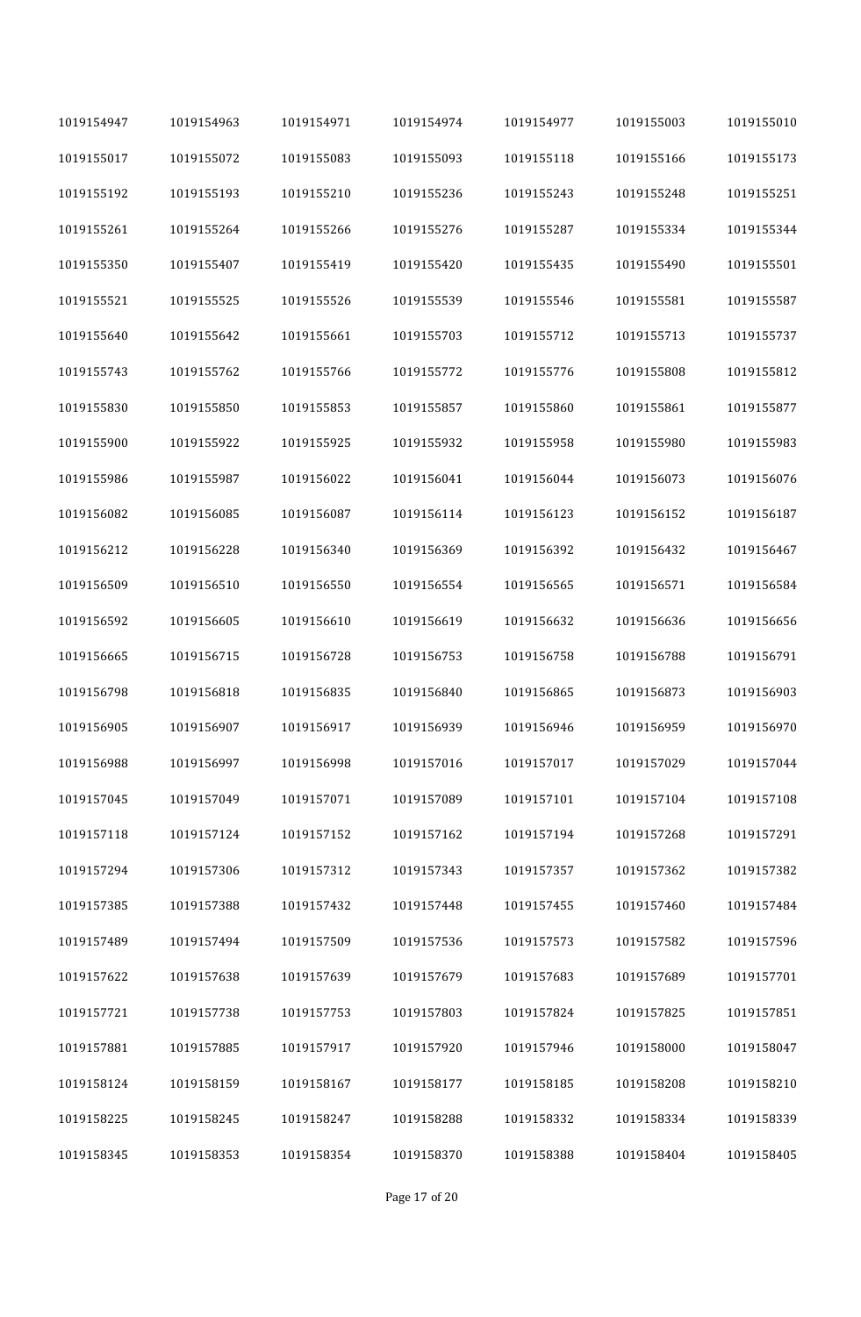| 1019154947 | 1019154963 | 1019154971 | 1019154974 | 1019154977 | 1019155003 | 1019155010 |
|------------|------------|------------|------------|------------|------------|------------|
| 1019155017 | 1019155072 | 1019155083 | 1019155093 | 1019155118 | 1019155166 | 1019155173 |
| 1019155192 | 1019155193 | 1019155210 | 1019155236 | 1019155243 | 1019155248 | 1019155251 |
| 1019155261 | 1019155264 | 1019155266 | 1019155276 | 1019155287 | 1019155334 | 1019155344 |
| 1019155350 | 1019155407 | 1019155419 | 1019155420 | 1019155435 | 1019155490 | 1019155501 |
| 1019155521 | 1019155525 | 1019155526 | 1019155539 | 1019155546 | 1019155581 | 1019155587 |
| 1019155640 | 1019155642 | 1019155661 | 1019155703 | 1019155712 | 1019155713 | 1019155737 |
| 1019155743 | 1019155762 | 1019155766 | 1019155772 | 1019155776 | 1019155808 | 1019155812 |
| 1019155830 | 1019155850 | 1019155853 | 1019155857 | 1019155860 | 1019155861 | 1019155877 |
| 1019155900 | 1019155922 | 1019155925 | 1019155932 | 1019155958 | 1019155980 | 1019155983 |
| 1019155986 | 1019155987 | 1019156022 | 1019156041 | 1019156044 | 1019156073 | 1019156076 |
| 1019156082 | 1019156085 | 1019156087 | 1019156114 | 1019156123 | 1019156152 | 1019156187 |
| 1019156212 | 1019156228 | 1019156340 | 1019156369 | 1019156392 | 1019156432 | 1019156467 |
| 1019156509 | 1019156510 | 1019156550 | 1019156554 | 1019156565 | 1019156571 | 1019156584 |
| 1019156592 | 1019156605 | 1019156610 | 1019156619 | 1019156632 | 1019156636 | 1019156656 |
| 1019156665 | 1019156715 | 1019156728 | 1019156753 | 1019156758 | 1019156788 | 1019156791 |
| 1019156798 | 1019156818 | 1019156835 | 1019156840 | 1019156865 | 1019156873 | 1019156903 |
| 1019156905 | 1019156907 | 1019156917 | 1019156939 | 1019156946 | 1019156959 | 1019156970 |
| 1019156988 | 1019156997 | 1019156998 | 1019157016 | 1019157017 | 1019157029 | 1019157044 |
| 1019157045 | 1019157049 | 1019157071 | 1019157089 | 1019157101 | 1019157104 | 1019157108 |
| 1019157118 | 1019157124 | 1019157152 | 1019157162 | 1019157194 | 1019157268 | 1019157291 |
| 1019157294 | 1019157306 | 1019157312 | 1019157343 | 1019157357 | 1019157362 | 1019157382 |
| 1019157385 | 1019157388 | 1019157432 | 1019157448 | 1019157455 | 1019157460 | 1019157484 |
| 1019157489 | 1019157494 | 1019157509 | 1019157536 | 1019157573 | 1019157582 | 1019157596 |
| 1019157622 | 1019157638 | 1019157639 | 1019157679 | 1019157683 | 1019157689 | 1019157701 |
| 1019157721 | 1019157738 | 1019157753 | 1019157803 | 1019157824 | 1019157825 | 1019157851 |
| 1019157881 | 1019157885 | 1019157917 | 1019157920 | 1019157946 | 1019158000 | 1019158047 |
| 1019158124 | 1019158159 | 1019158167 | 1019158177 | 1019158185 | 1019158208 | 1019158210 |
| 1019158225 | 1019158245 | 1019158247 | 1019158288 | 1019158332 | 1019158334 | 1019158339 |
| 1019158345 | 1019158353 | 1019158354 | 1019158370 | 1019158388 | 1019158404 | 1019158405 |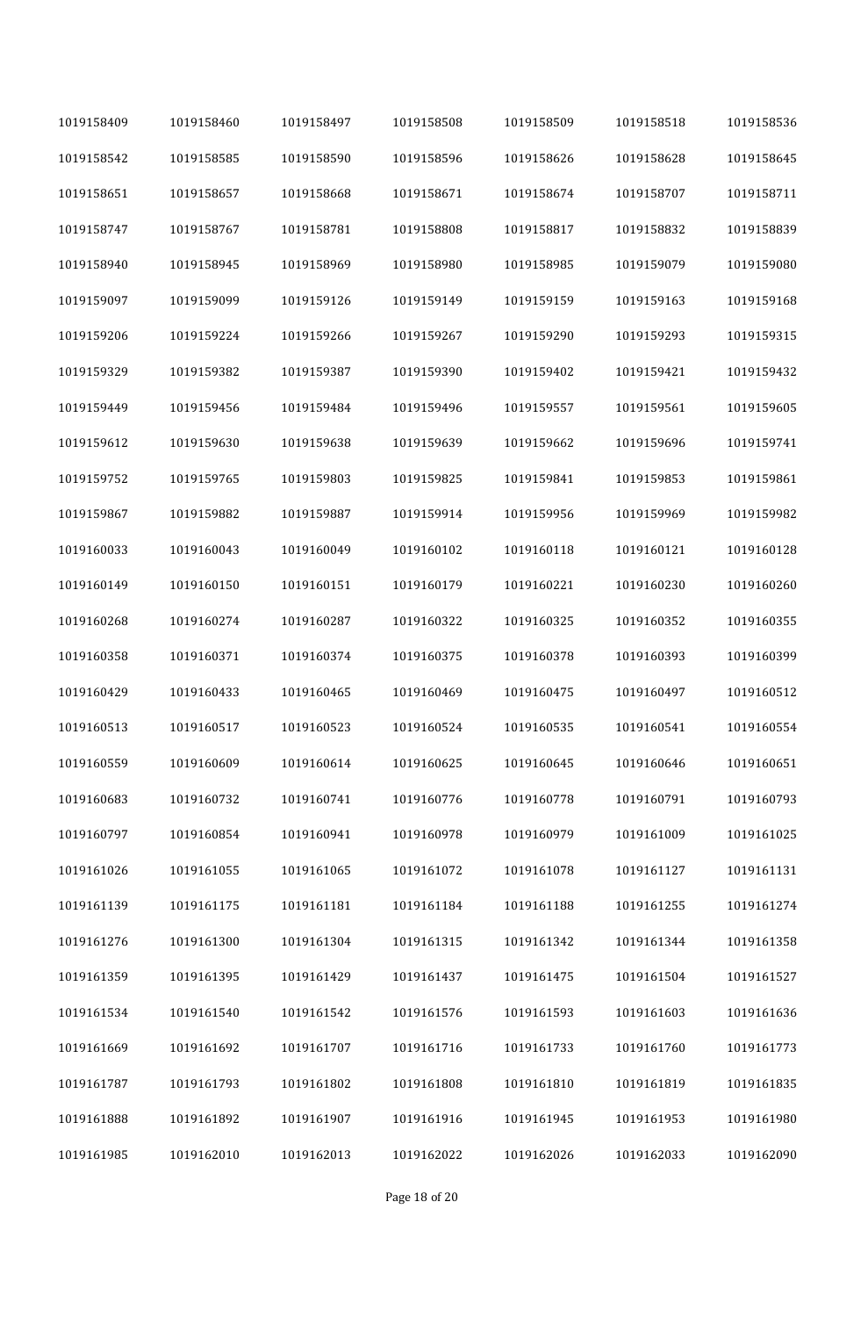| 1019158409 | 1019158460 | 1019158497 | 1019158508 | 1019158509 | 1019158518 | 1019158536 |
|------------|------------|------------|------------|------------|------------|------------|
| 1019158542 | 1019158585 | 1019158590 | 1019158596 | 1019158626 | 1019158628 | 1019158645 |
| 1019158651 | 1019158657 | 1019158668 | 1019158671 | 1019158674 | 1019158707 | 1019158711 |
| 1019158747 | 1019158767 | 1019158781 | 1019158808 | 1019158817 | 1019158832 | 1019158839 |
| 1019158940 | 1019158945 | 1019158969 | 1019158980 | 1019158985 | 1019159079 | 1019159080 |
| 1019159097 | 1019159099 | 1019159126 | 1019159149 | 1019159159 | 1019159163 | 1019159168 |
| 1019159206 | 1019159224 | 1019159266 | 1019159267 | 1019159290 | 1019159293 | 1019159315 |
| 1019159329 | 1019159382 | 1019159387 | 1019159390 | 1019159402 | 1019159421 | 1019159432 |
| 1019159449 | 1019159456 | 1019159484 | 1019159496 | 1019159557 | 1019159561 | 1019159605 |
| 1019159612 | 1019159630 | 1019159638 | 1019159639 | 1019159662 | 1019159696 | 1019159741 |
| 1019159752 | 1019159765 | 1019159803 | 1019159825 | 1019159841 | 1019159853 | 1019159861 |
| 1019159867 | 1019159882 | 1019159887 | 1019159914 | 1019159956 | 1019159969 | 1019159982 |
| 1019160033 | 1019160043 | 1019160049 | 1019160102 | 1019160118 | 1019160121 | 1019160128 |
| 1019160149 | 1019160150 | 1019160151 | 1019160179 | 1019160221 | 1019160230 | 1019160260 |
| 1019160268 | 1019160274 | 1019160287 | 1019160322 | 1019160325 | 1019160352 | 1019160355 |
| 1019160358 | 1019160371 | 1019160374 | 1019160375 | 1019160378 | 1019160393 | 1019160399 |
| 1019160429 | 1019160433 | 1019160465 | 1019160469 | 1019160475 | 1019160497 | 1019160512 |
| 1019160513 | 1019160517 | 1019160523 | 1019160524 | 1019160535 | 1019160541 | 1019160554 |
| 1019160559 | 1019160609 | 1019160614 | 1019160625 | 1019160645 | 1019160646 | 1019160651 |
| 1019160683 | 1019160732 | 1019160741 | 1019160776 | 1019160778 | 1019160791 | 1019160793 |
| 1019160797 | 1019160854 | 1019160941 | 1019160978 | 1019160979 | 1019161009 | 1019161025 |
| 1019161026 | 1019161055 | 1019161065 | 1019161072 | 1019161078 | 1019161127 | 1019161131 |
| 1019161139 | 1019161175 | 1019161181 | 1019161184 | 1019161188 | 1019161255 | 1019161274 |
| 1019161276 | 1019161300 | 1019161304 | 1019161315 | 1019161342 | 1019161344 | 1019161358 |
| 1019161359 | 1019161395 | 1019161429 | 1019161437 | 1019161475 | 1019161504 | 1019161527 |
| 1019161534 | 1019161540 | 1019161542 | 1019161576 | 1019161593 | 1019161603 | 1019161636 |
| 1019161669 | 1019161692 | 1019161707 | 1019161716 | 1019161733 | 1019161760 | 1019161773 |
| 1019161787 | 1019161793 | 1019161802 | 1019161808 | 1019161810 | 1019161819 | 1019161835 |
| 1019161888 | 1019161892 | 1019161907 | 1019161916 | 1019161945 | 1019161953 | 1019161980 |
| 1019161985 | 1019162010 | 1019162013 | 1019162022 | 1019162026 | 1019162033 | 1019162090 |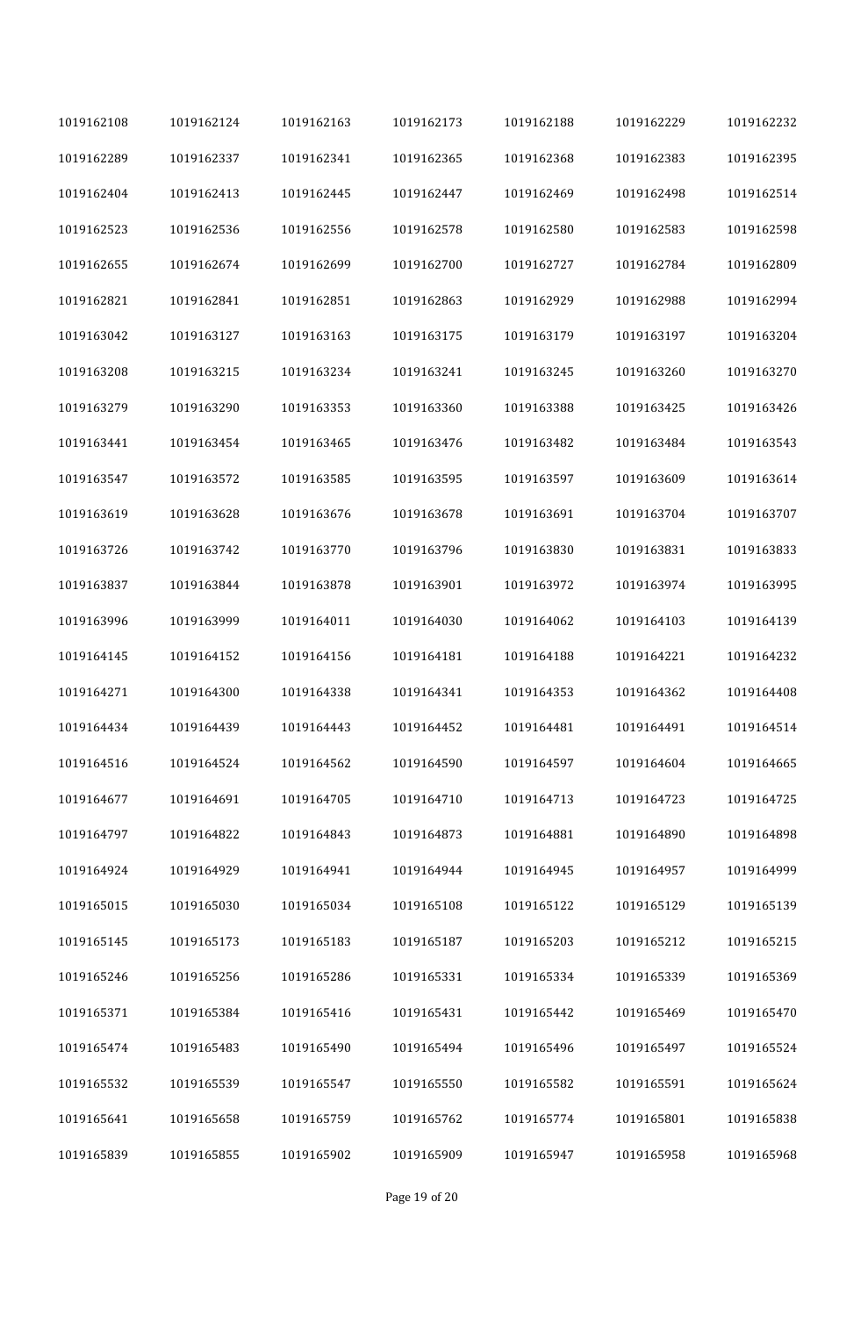| 1019162108 | 1019162124 | 1019162163 | 1019162173 | 1019162188 | 1019162229 | 1019162232 |
|------------|------------|------------|------------|------------|------------|------------|
| 1019162289 | 1019162337 | 1019162341 | 1019162365 | 1019162368 | 1019162383 | 1019162395 |
| 1019162404 | 1019162413 | 1019162445 | 1019162447 | 1019162469 | 1019162498 | 1019162514 |
| 1019162523 | 1019162536 | 1019162556 | 1019162578 | 1019162580 | 1019162583 | 1019162598 |
| 1019162655 | 1019162674 | 1019162699 | 1019162700 | 1019162727 | 1019162784 | 1019162809 |
| 1019162821 | 1019162841 | 1019162851 | 1019162863 | 1019162929 | 1019162988 | 1019162994 |
| 1019163042 | 1019163127 | 1019163163 | 1019163175 | 1019163179 | 1019163197 | 1019163204 |
| 1019163208 | 1019163215 | 1019163234 | 1019163241 | 1019163245 | 1019163260 | 1019163270 |
| 1019163279 | 1019163290 | 1019163353 | 1019163360 | 1019163388 | 1019163425 | 1019163426 |
| 1019163441 | 1019163454 | 1019163465 | 1019163476 | 1019163482 | 1019163484 | 1019163543 |
| 1019163547 | 1019163572 | 1019163585 | 1019163595 | 1019163597 | 1019163609 | 1019163614 |
| 1019163619 | 1019163628 | 1019163676 | 1019163678 | 1019163691 | 1019163704 | 1019163707 |
| 1019163726 | 1019163742 | 1019163770 | 1019163796 | 1019163830 | 1019163831 | 1019163833 |
| 1019163837 | 1019163844 | 1019163878 | 1019163901 | 1019163972 | 1019163974 | 1019163995 |
| 1019163996 | 1019163999 | 1019164011 | 1019164030 | 1019164062 | 1019164103 | 1019164139 |
| 1019164145 | 1019164152 | 1019164156 | 1019164181 | 1019164188 | 1019164221 | 1019164232 |
| 1019164271 | 1019164300 | 1019164338 | 1019164341 | 1019164353 | 1019164362 | 1019164408 |
| 1019164434 | 1019164439 | 1019164443 | 1019164452 | 1019164481 | 1019164491 | 1019164514 |
| 1019164516 | 1019164524 | 1019164562 | 1019164590 | 1019164597 | 1019164604 | 1019164665 |
| 1019164677 | 1019164691 | 1019164705 | 1019164710 | 1019164713 | 1019164723 | 1019164725 |
| 1019164797 | 1019164822 | 1019164843 | 1019164873 | 1019164881 | 1019164890 | 1019164898 |
| 1019164924 | 1019164929 | 1019164941 | 1019164944 | 1019164945 | 1019164957 | 1019164999 |
| 1019165015 | 1019165030 | 1019165034 | 1019165108 | 1019165122 | 1019165129 | 1019165139 |
| 1019165145 | 1019165173 | 1019165183 | 1019165187 | 1019165203 | 1019165212 | 1019165215 |
| 1019165246 | 1019165256 | 1019165286 | 1019165331 | 1019165334 | 1019165339 | 1019165369 |
| 1019165371 | 1019165384 | 1019165416 | 1019165431 | 1019165442 | 1019165469 | 1019165470 |
| 1019165474 | 1019165483 | 1019165490 | 1019165494 | 1019165496 | 1019165497 | 1019165524 |
| 1019165532 | 1019165539 | 1019165547 | 1019165550 | 1019165582 | 1019165591 | 1019165624 |
| 1019165641 | 1019165658 | 1019165759 | 1019165762 | 1019165774 | 1019165801 | 1019165838 |
| 1019165839 | 1019165855 | 1019165902 | 1019165909 | 1019165947 | 1019165958 | 1019165968 |

Page 19 of 20